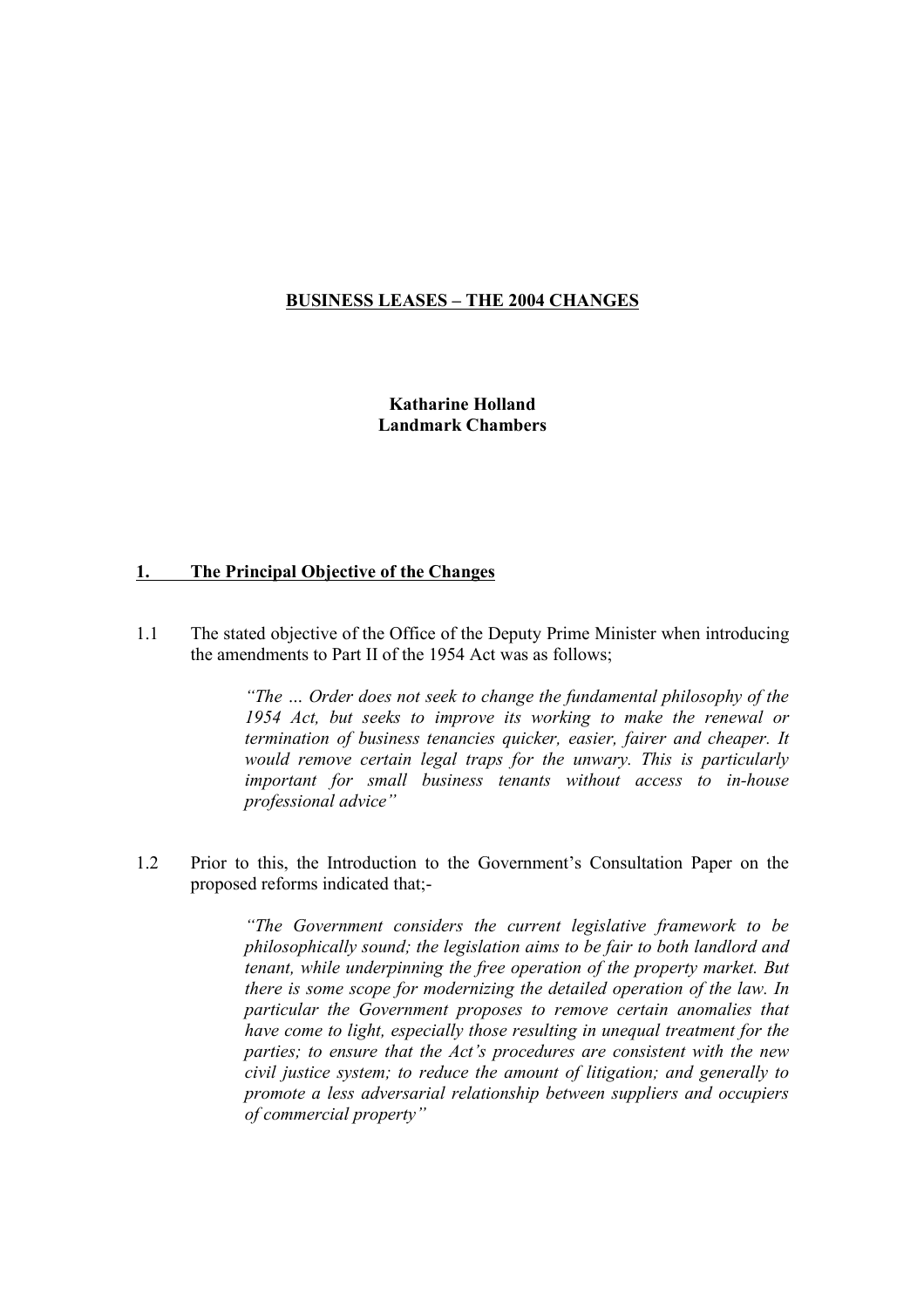#### BUSINESS LEASES – THE 2004 CHANGES

Katharine Holland Landmark Chambers

## 1. The Principal Objective of the Changes

1.1 The stated objective of the Office of the Deputy Prime Minister when introducing the amendments to Part II of the 1954 Act was as follows;

> "The … Order does not seek to change the fundamental philosophy of the 1954 Act, but seeks to improve its working to make the renewal or termination of business tenancies quicker, easier, fairer and cheaper. It would remove certain legal traps for the unwary. This is particularly important for small business tenants without access to in-house professional advice"

1.2 Prior to this, the Introduction to the Government's Consultation Paper on the proposed reforms indicated that;-

> "The Government considers the current legislative framework to be philosophically sound; the legislation aims to be fair to both landlord and tenant, while underpinning the free operation of the property market. But there is some scope for modernizing the detailed operation of the law. In particular the Government proposes to remove certain anomalies that have come to light, especially those resulting in unequal treatment for the parties; to ensure that the Act's procedures are consistent with the new civil justice system; to reduce the amount of litigation; and generally to promote a less adversarial relationship between suppliers and occupiers of commercial property"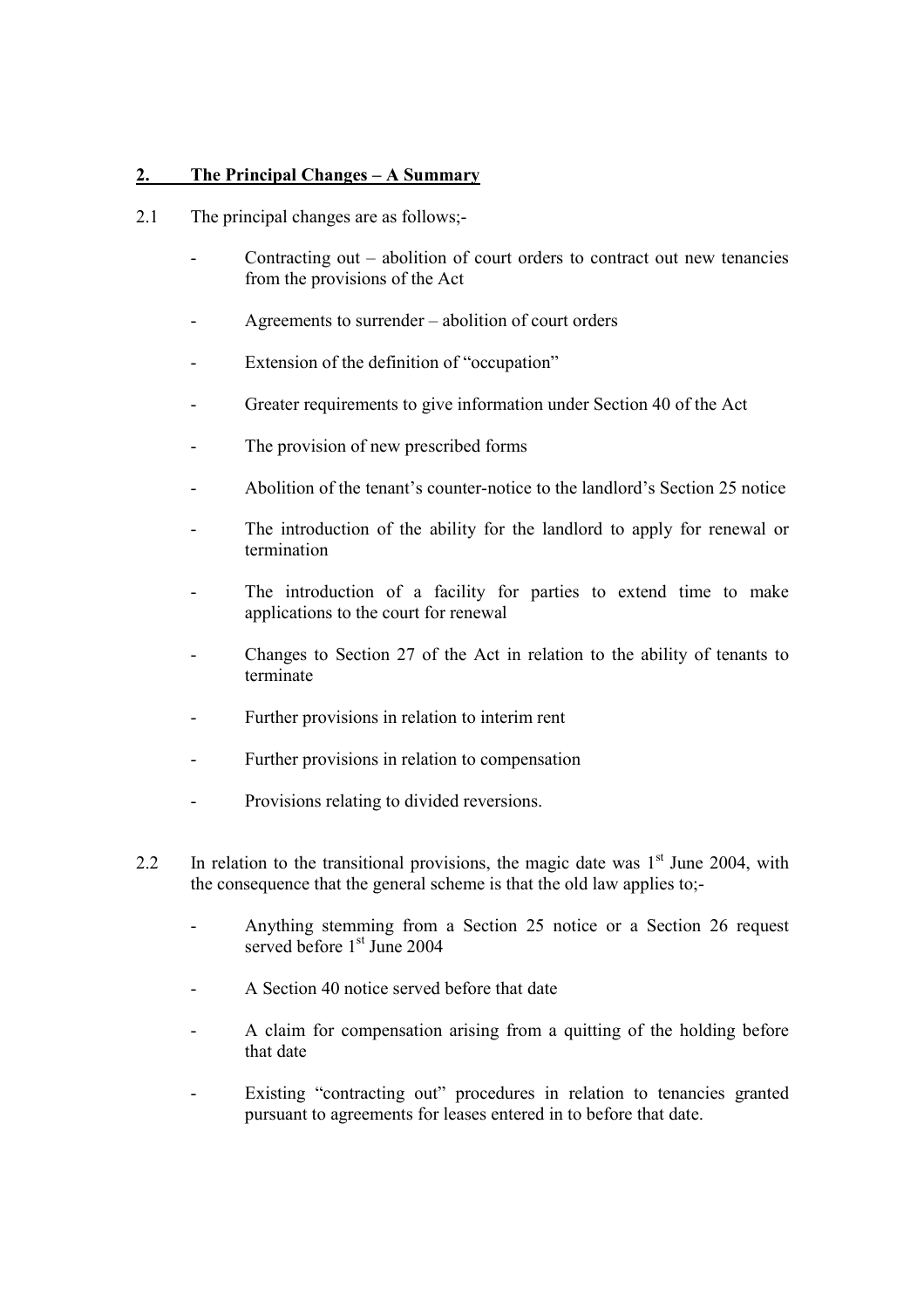# 2. The Principal Changes – A Summary

- 2.1 The principal changes are as follows;-
	- Contracting out abolition of court orders to contract out new tenancies from the provisions of the Act
	- Agreements to surrender abolition of court orders
	- Extension of the definition of "occupation"
	- Greater requirements to give information under Section 40 of the Act
	- The provision of new prescribed forms
	- Abolition of the tenant's counter-notice to the landlord's Section 25 notice
	- The introduction of the ability for the landlord to apply for renewal or termination
	- The introduction of a facility for parties to extend time to make applications to the court for renewal
	- Changes to Section 27 of the Act in relation to the ability of tenants to terminate
	- Further provisions in relation to interim rent
	- Further provisions in relation to compensation
	- Provisions relating to divided reversions.
- 2.2 In relation to the transitional provisions, the magic date was  $1<sup>st</sup>$  June 2004, with the consequence that the general scheme is that the old law applies to;-
	- Anything stemming from a Section 25 notice or a Section 26 request served before  $1<sup>st</sup>$  June 2004
	- A Section 40 notice served before that date
	- A claim for compensation arising from a quitting of the holding before that date
	- Existing "contracting out" procedures in relation to tenancies granted pursuant to agreements for leases entered in to before that date.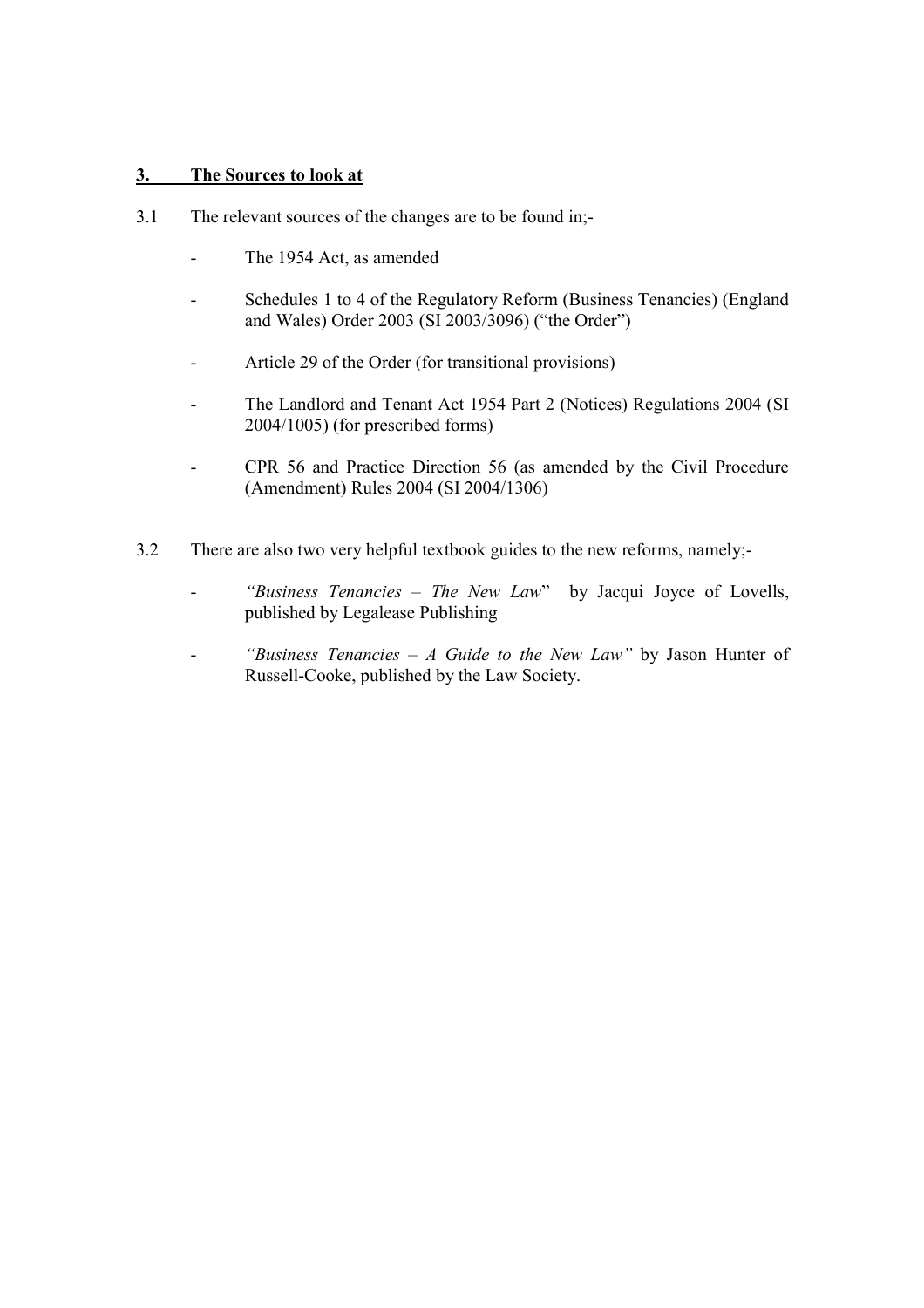# 3. The Sources to look at

- 3.1 The relevant sources of the changes are to be found in;-
	- The 1954 Act, as amended
	- Schedules 1 to 4 of the Regulatory Reform (Business Tenancies) (England and Wales) Order 2003 (SI 2003/3096) ("the Order")
	- Article 29 of the Order (for transitional provisions)
	- The Landlord and Tenant Act 1954 Part 2 (Notices) Regulations 2004 (SI 2004/1005) (for prescribed forms)
	- CPR 56 and Practice Direction 56 (as amended by the Civil Procedure (Amendment) Rules 2004 (SI 2004/1306)
- 3.2 There are also two very helpful textbook guides to the new reforms, namely;-
	- "Business Tenancies The New Law" by Jacqui Joyce of Lovells, published by Legalease Publishing
	- "Business Tenancies A Guide to the New Law" by Jason Hunter of Russell-Cooke, published by the Law Society.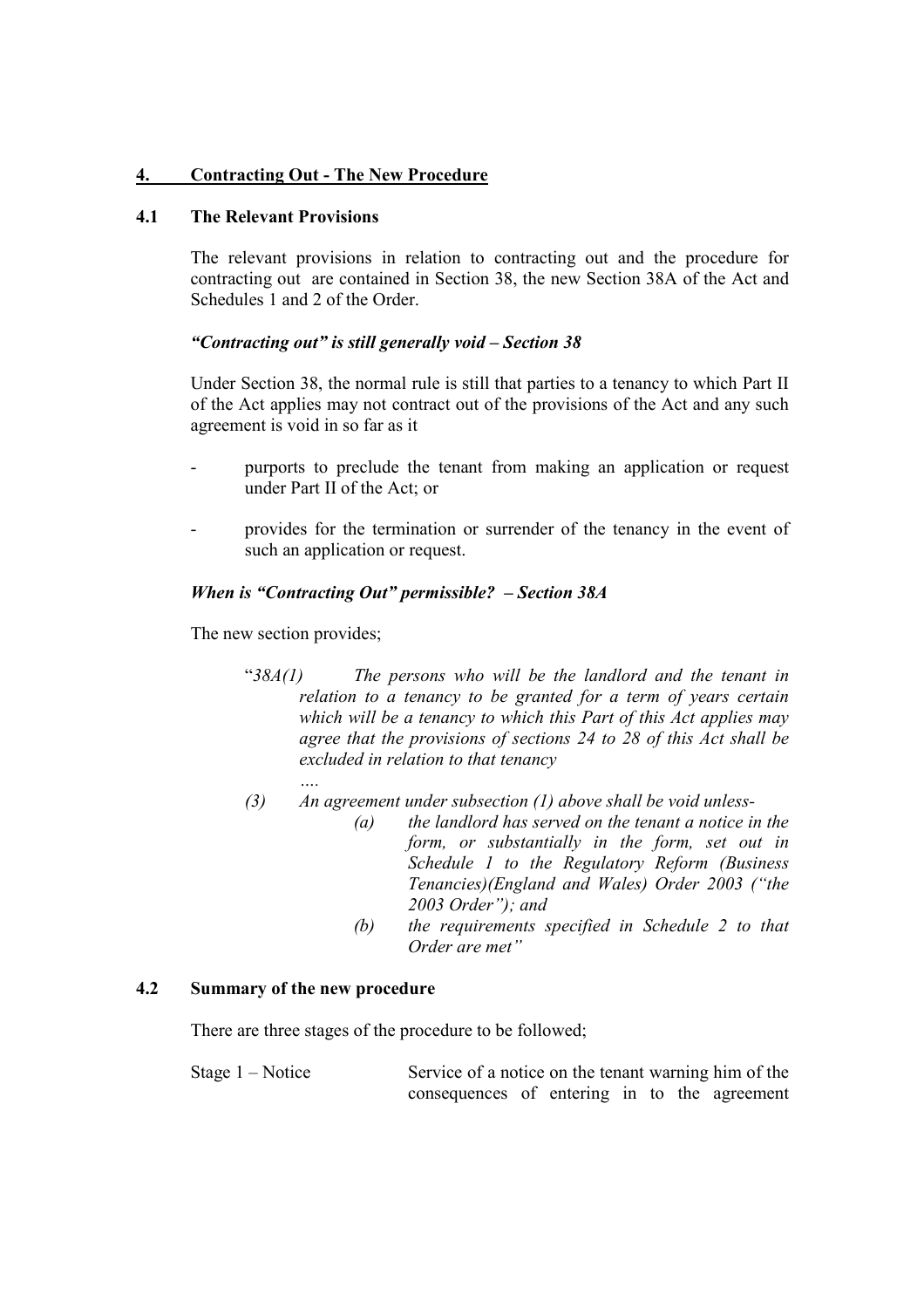# 4. Contracting Out - The New Procedure

## 4.1 The Relevant Provisions

The relevant provisions in relation to contracting out and the procedure for contracting out are contained in Section 38, the new Section 38A of the Act and Schedules 1 and 2 of the Order.

# "Contracting out" is still generally void – Section 38

Under Section 38, the normal rule is still that parties to a tenancy to which Part II of the Act applies may not contract out of the provisions of the Act and any such agreement is void in so far as it

- purports to preclude the tenant from making an application or request under Part II of the Act; or
- provides for the termination or surrender of the tenancy in the event of such an application or request.

# When is "Contracting Out" permissible? – Section 38A

The new section provides;

- " $38A(1)$  The persons who will be the landlord and the tenant in relation to a tenancy to be granted for a term of years certain which will be a tenancy to which this Part of this Act applies may agree that the provisions of sections 24 to 28 of this Act shall be excluded in relation to that tenancy
- …. (3) An agreement under subsection  $(1)$  above shall be void unless-
	- $(a)$  the landlord has served on the tenant a notice in the form, or substantially in the form, set out in Schedule 1 to the Regulatory Reform (Business Tenancies)(England and Wales) Order 2003 ("the 2003 Order"); and
	- (b) the requirements specified in Schedule 2 to that Order are met"

## 4.2 Summary of the new procedure

There are three stages of the procedure to be followed;

Stage  $1 -$  Notice Service of a notice on the tenant warning him of the consequences of entering in to the agreement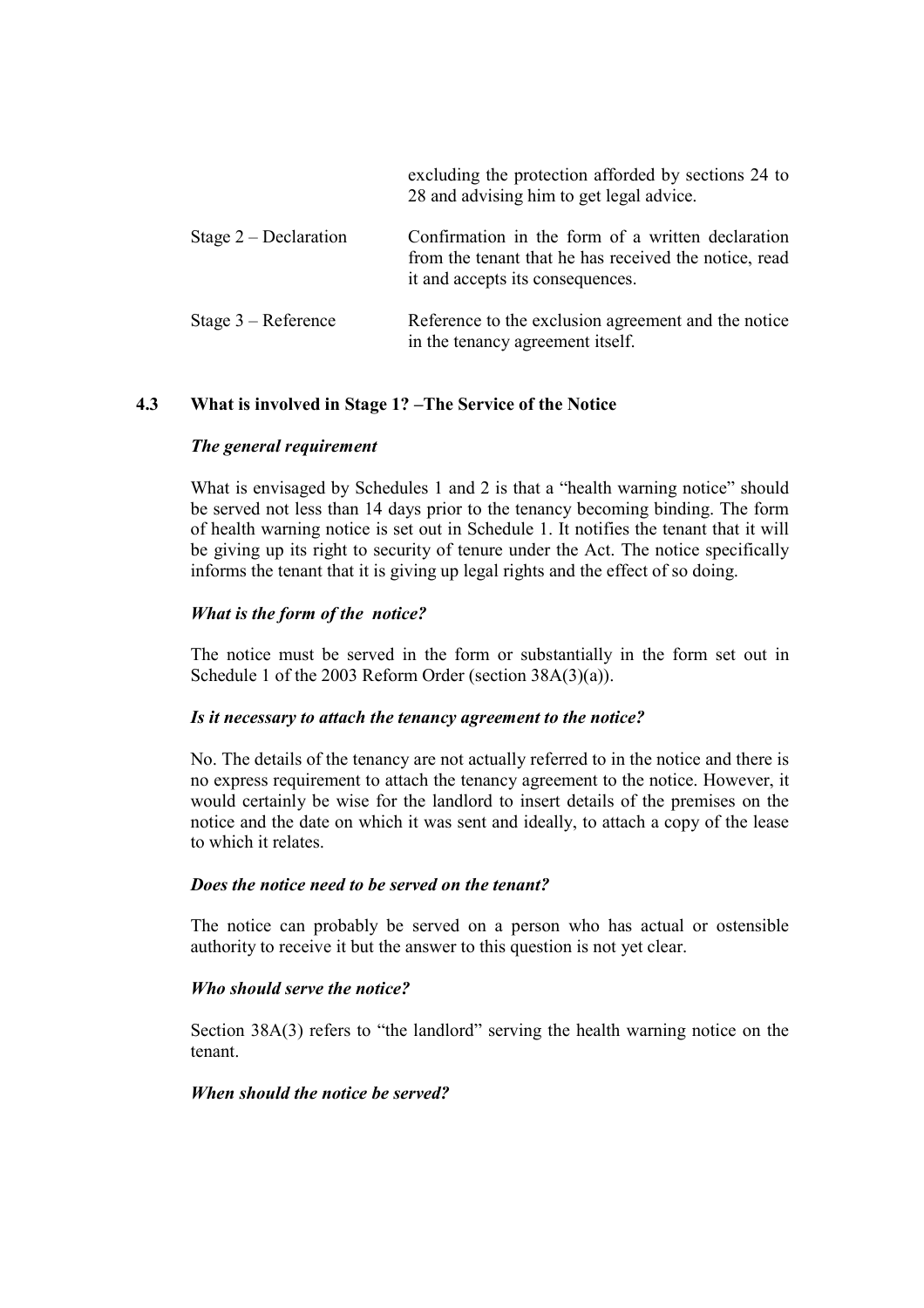|                         | excluding the protection afforded by sections 24 to<br>28 and advising him to get legal advice.                                                |
|-------------------------|------------------------------------------------------------------------------------------------------------------------------------------------|
| Stage $2$ – Declaration | Confirmation in the form of a written declaration<br>from the tenant that he has received the notice, read<br>it and accepts its consequences. |
| Stage $3 -$ Reference   | Reference to the exclusion agreement and the notice<br>in the tenancy agreement itself.                                                        |

# 4.3 What is involved in Stage 1? –The Service of the Notice

#### The general requirement

What is envisaged by Schedules 1 and 2 is that a "health warning notice" should be served not less than 14 days prior to the tenancy becoming binding. The form of health warning notice is set out in Schedule 1. It notifies the tenant that it will be giving up its right to security of tenure under the Act. The notice specifically informs the tenant that it is giving up legal rights and the effect of so doing.

## What is the form of the notice?

The notice must be served in the form or substantially in the form set out in Schedule 1 of the 2003 Reform Order (section 38A(3)(a)).

#### Is it necessary to attach the tenancy agreement to the notice?

No. The details of the tenancy are not actually referred to in the notice and there is no express requirement to attach the tenancy agreement to the notice. However, it would certainly be wise for the landlord to insert details of the premises on the notice and the date on which it was sent and ideally, to attach a copy of the lease to which it relates.

#### Does the notice need to be served on the tenant?

The notice can probably be served on a person who has actual or ostensible authority to receive it but the answer to this question is not yet clear.

#### Who should serve the notice?

Section 38A(3) refers to "the landlord" serving the health warning notice on the tenant.

#### When should the notice be served?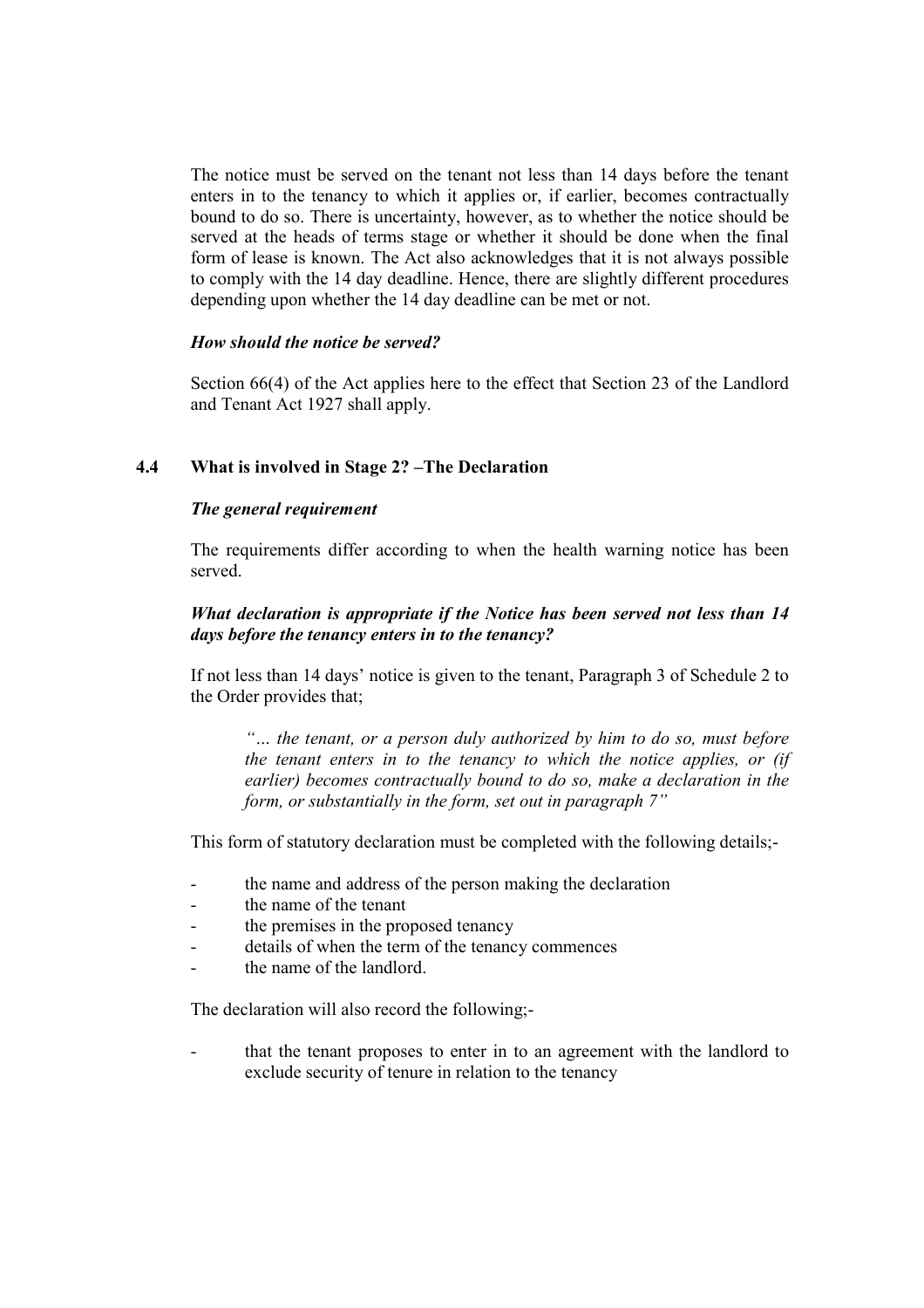The notice must be served on the tenant not less than 14 days before the tenant enters in to the tenancy to which it applies or, if earlier, becomes contractually bound to do so. There is uncertainty, however, as to whether the notice should be served at the heads of terms stage or whether it should be done when the final form of lease is known. The Act also acknowledges that it is not always possible to comply with the 14 day deadline. Hence, there are slightly different procedures depending upon whether the 14 day deadline can be met or not.

## How should the notice be served?

Section 66(4) of the Act applies here to the effect that Section 23 of the Landlord and Tenant Act 1927 shall apply.

## 4.4 What is involved in Stage 2? –The Declaration

### The general requirement

The requirements differ according to when the health warning notice has been served.

## What declaration is appropriate if the Notice has been served not less than 14 days before the tenancy enters in to the tenancy?

If not less than 14 days' notice is given to the tenant, Paragraph 3 of Schedule 2 to the Order provides that;

"… the tenant, or a person duly authorized by him to do so, must before the tenant enters in to the tenancy to which the notice applies, or (if earlier) becomes contractually bound to do so, make a declaration in the form, or substantially in the form, set out in paragraph 7"

This form of statutory declaration must be completed with the following details;-

- the name and address of the person making the declaration
- the name of the tenant
- the premises in the proposed tenancy
- details of when the term of the tenancy commences
- the name of the landlord

The declaration will also record the following;-

that the tenant proposes to enter in to an agreement with the landlord to exclude security of tenure in relation to the tenancy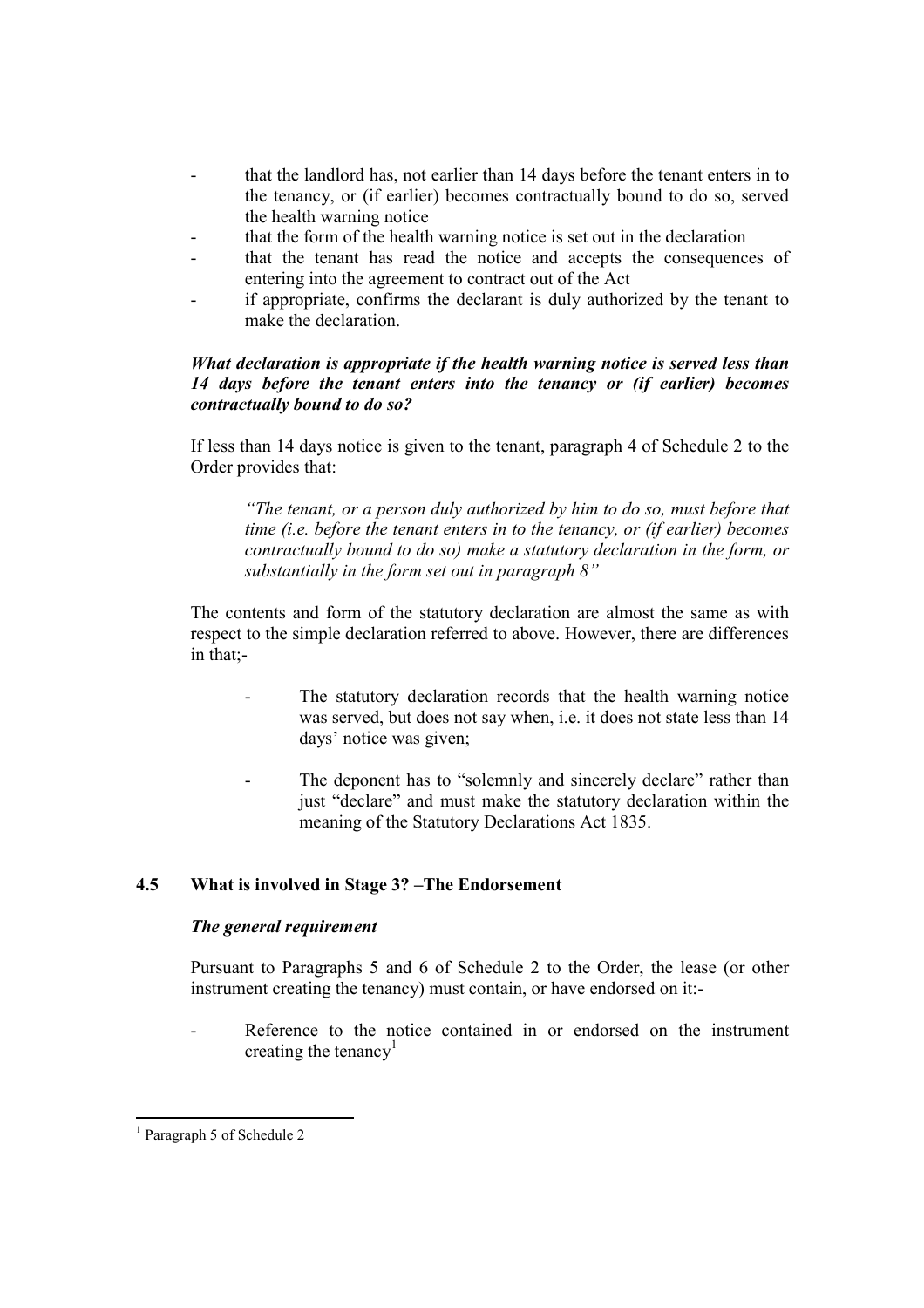- that the landlord has, not earlier than 14 days before the tenant enters in to the tenancy, or (if earlier) becomes contractually bound to do so, served the health warning notice
- that the form of the health warning notice is set out in the declaration
- that the tenant has read the notice and accepts the consequences of entering into the agreement to contract out of the Act
- if appropriate, confirms the declarant is duly authorized by the tenant to make the declaration.

## What declaration is appropriate if the health warning notice is served less than 14 days before the tenant enters into the tenancy or (if earlier) becomes contractually bound to do so?

If less than 14 days notice is given to the tenant, paragraph 4 of Schedule 2 to the Order provides that:

"The tenant, or a person duly authorized by him to do so, must before that time (i.e. before the tenant enters in to the tenancy, or (if earlier) becomes contractually bound to do so) make a statutory declaration in the form, or substantially in the form set out in paragraph 8"

The contents and form of the statutory declaration are almost the same as with respect to the simple declaration referred to above. However, there are differences in that;-

- The statutory declaration records that the health warning notice was served, but does not say when, i.e. it does not state less than 14 days' notice was given;
- The deponent has to "solemnly and sincerely declare" rather than just "declare" and must make the statutory declaration within the meaning of the Statutory Declarations Act 1835.

# 4.5 What is involved in Stage 3? –The Endorsement

## The general requirement

Pursuant to Paragraphs 5 and 6 of Schedule 2 to the Order, the lease (or other instrument creating the tenancy) must contain, or have endorsed on it:-

Reference to the notice contained in or endorsed on the instrument creating the tenancy<sup>1</sup>

<sup>-</sup>1 Paragraph 5 of Schedule 2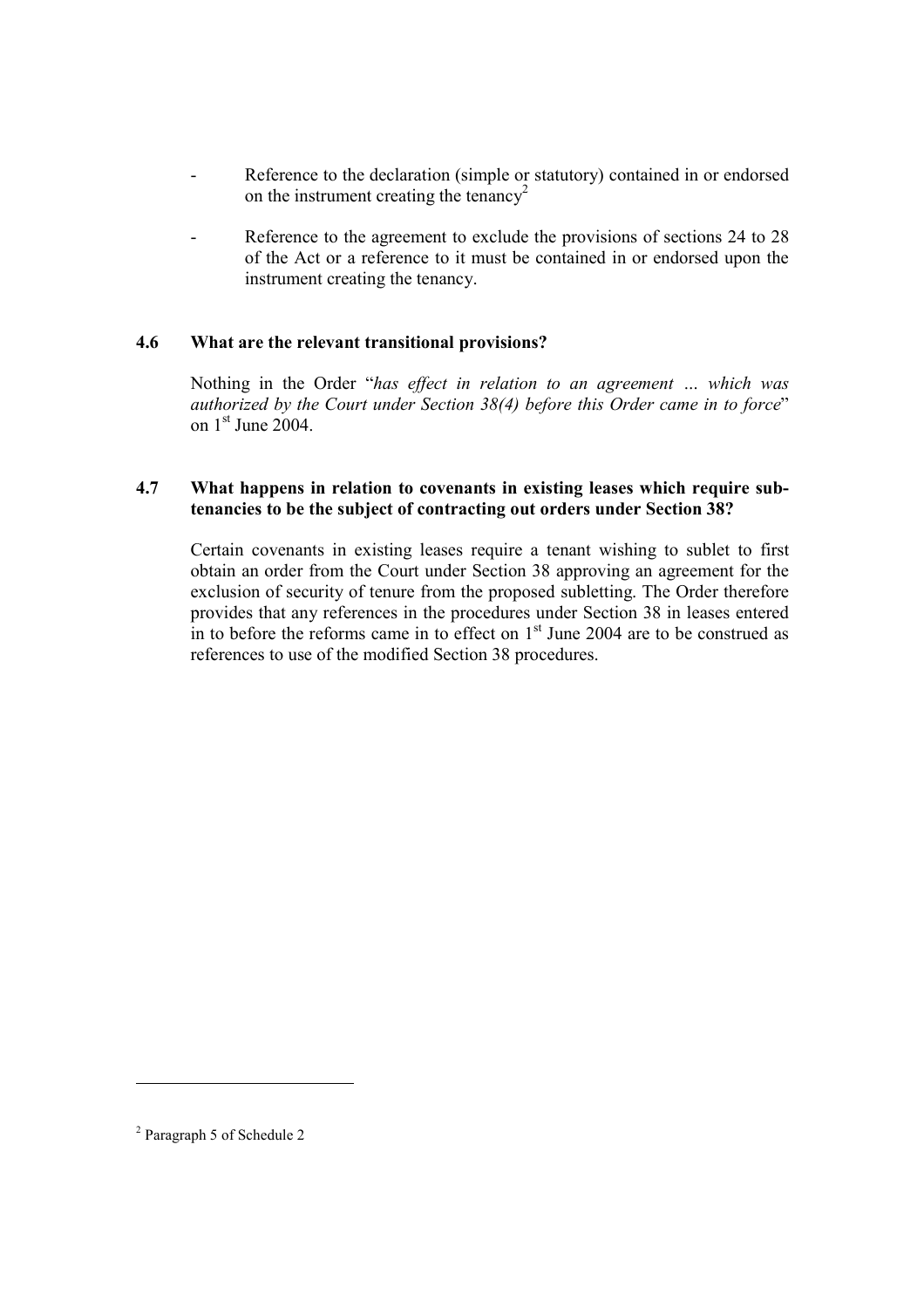- Reference to the declaration (simple or statutory) contained in or endorsed on the instrument creating the tenancy<sup>2</sup>
- Reference to the agreement to exclude the provisions of sections 24 to 28 of the Act or a reference to it must be contained in or endorsed upon the instrument creating the tenancy.

# 4.6 What are the relevant transitional provisions?

Nothing in the Order "has effect in relation to an agreement … which was authorized by the Court under Section 38(4) before this Order came in to force" on 1st June 2004.

## 4.7 What happens in relation to covenants in existing leases which require subtenancies to be the subject of contracting out orders under Section 38?

Certain covenants in existing leases require a tenant wishing to sublet to first obtain an order from the Court under Section 38 approving an agreement for the exclusion of security of tenure from the proposed subletting. The Order therefore provides that any references in the procedures under Section 38 in leases entered in to before the reforms came in to effect on  $1<sup>st</sup>$  June 2004 are to be construed as references to use of the modified Section 38 procedures.

-

<sup>&</sup>lt;sup>2</sup> Paragraph 5 of Schedule 2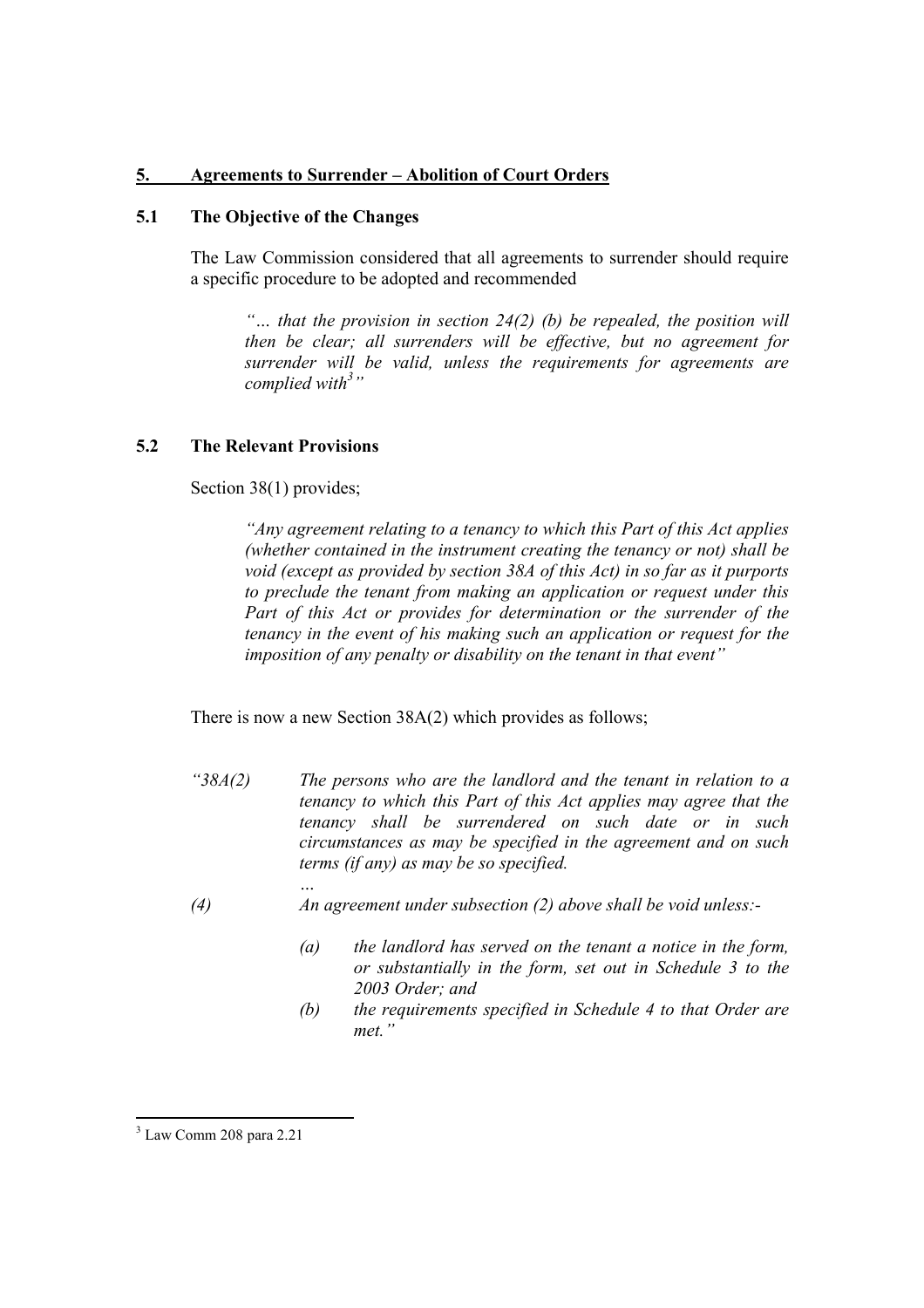# 5. Agreements to Surrender – Abolition of Court Orders

## 5.1 The Objective of the Changes

The Law Commission considered that all agreements to surrender should require a specific procedure to be adopted and recommended

"... that the provision in section  $24(2)$  (b) be repealed, the position will then be clear; all surrenders will be effective, but no agreement for surrender will be valid, unless the requirements for agreements are complied with<sup>3</sup>"

#### 5.2 The Relevant Provisions

Section 38(1) provides;

"Any agreement relating to a tenancy to which this Part of this Act applies (whether contained in the instrument creating the tenancy or not) shall be void (except as provided by section 38A of this Act) in so far as it purports to preclude the tenant from making an application or request under this Part of this Act or provides for determination or the surrender of the tenancy in the event of his making such an application or request for the imposition of any penalty or disability on the tenant in that event"

There is now a new Section 38A(2) which provides as follows;

- " $38A(2)$  The persons who are the landlord and the tenant in relation to a tenancy to which this Part of this Act applies may agree that the tenancy shall be surrendered on such date or in such circumstances as may be specified in the agreement and on such terms (if any) as may be so specified.
- … (4) An agreement under subsection (2) above shall be void unless:-
	- $(a)$  the landlord has served on the tenant a notice in the form, or substantially in the form, set out in Schedule 3 to the 2003 Order; and
	- (b) the requirements specified in Schedule 4 to that Order are met."

 3 Law Comm 208 para 2.21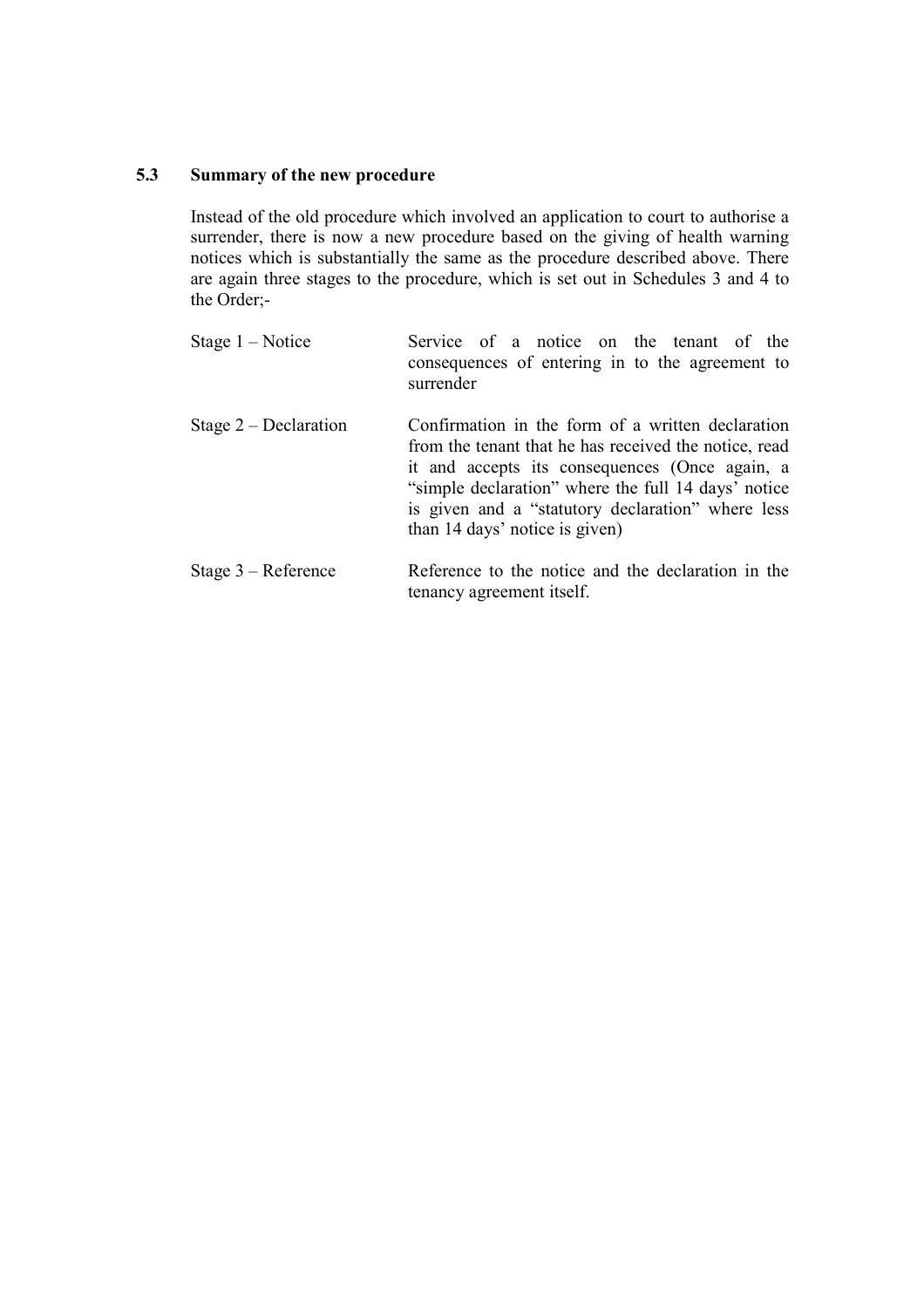### 5.3 Summary of the new procedure

Instead of the old procedure which involved an application to court to authorise a surrender, there is now a new procedure based on the giving of health warning notices which is substantially the same as the procedure described above. There are again three stages to the procedure, which is set out in Schedules 3 and 4 to the Order;-

| Stage $1 - Notice$      | Service of a notice on the tenant of the<br>consequences of entering in to the agreement to<br>surrender                                                                                                                                                                                                   |
|-------------------------|------------------------------------------------------------------------------------------------------------------------------------------------------------------------------------------------------------------------------------------------------------------------------------------------------------|
| Stage $2$ – Declaration | Confirmation in the form of a written declaration<br>from the tenant that he has received the notice, read<br>it and accepts its consequences (Once again, a<br>"simple declaration" where the full 14 days' notice<br>is given and a "statutory declaration" where less<br>than 14 days' notice is given) |
| Stage $3 -$ Reference   | Reference to the notice and the declaration in the<br>tenancy agreement itself.                                                                                                                                                                                                                            |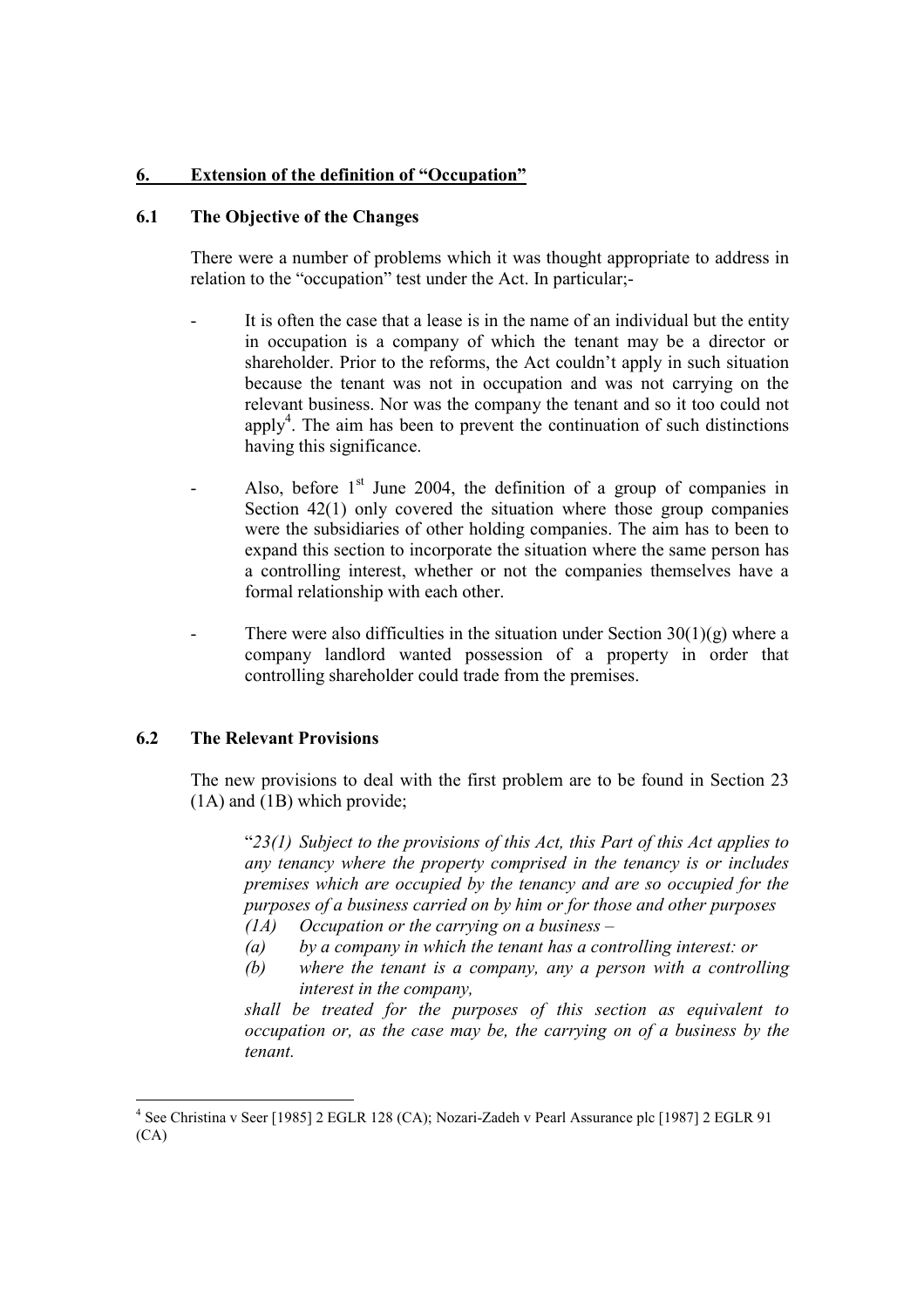# 6. Extension of the definition of "Occupation"

## 6.1 The Objective of the Changes

There were a number of problems which it was thought appropriate to address in relation to the "occupation" test under the Act. In particular;-

- It is often the case that a lease is in the name of an individual but the entity in occupation is a company of which the tenant may be a director or shareholder. Prior to the reforms, the Act couldn't apply in such situation because the tenant was not in occupation and was not carrying on the relevant business. Nor was the company the tenant and so it too could not apply<sup>4</sup>. The aim has been to prevent the continuation of such distinctions having this significance.
- Also, before  $1<sup>st</sup>$  June 2004, the definition of a group of companies in Section 42(1) only covered the situation where those group companies were the subsidiaries of other holding companies. The aim has to been to expand this section to incorporate the situation where the same person has a controlling interest, whether or not the companies themselves have a formal relationship with each other.
- There were also difficulties in the situation under Section  $30(1)(g)$  where a company landlord wanted possession of a property in order that controlling shareholder could trade from the premises.

#### 6.2 The Relevant Provisions

The new provisions to deal with the first problem are to be found in Section 23 (1A) and (1B) which provide;

" $23(1)$  Subject to the provisions of this Act, this Part of this Act applies to any tenancy where the property comprised in the tenancy is or includes premises which are occupied by the tenancy and are so occupied for the purposes of a business carried on by him or for those and other purposes (1A) Occupation or the carrying on a business –

- (a) by a company in which the tenant has a controlling interest: or
- (b) where the tenant is a company, any a person with a controlling interest in the company,

shall be treated for the purposes of this section as equivalent to occupation or, as the case may be, the carrying on of a business by the tenant.

 4 See Christina v Seer [1985] 2 EGLR 128 (CA); Nozari-Zadeh v Pearl Assurance plc [1987] 2 EGLR 91  $(CA)$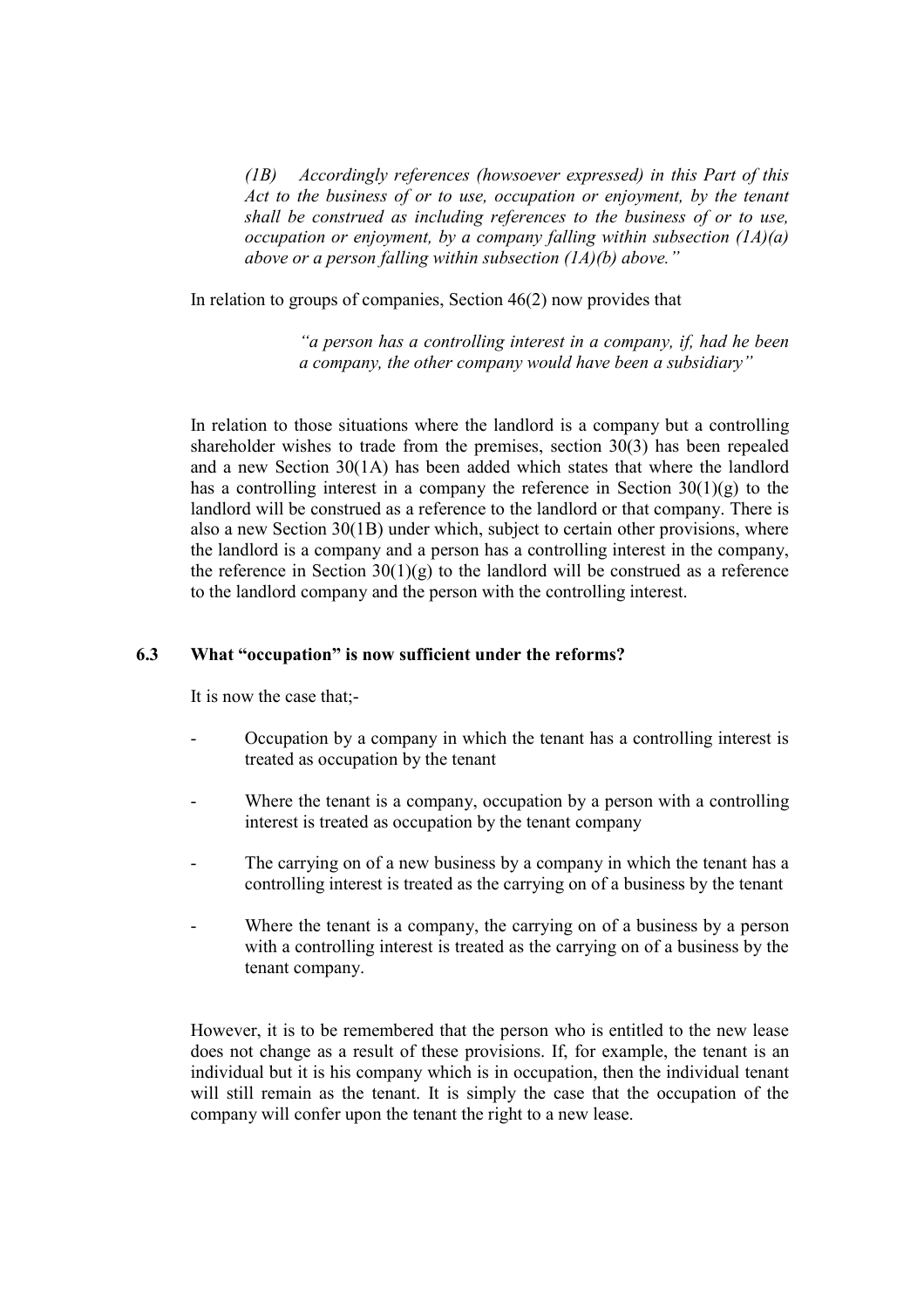(1B) Accordingly references (howsoever expressed) in this Part of this Act to the business of or to use, occupation or enjoyment, by the tenant shall be construed as including references to the business of or to use, occupation or enjoyment, by a company falling within subsection  $(1A)(a)$ above or a person falling within subsection  $(1A)(b)$  above."

In relation to groups of companies, Section 46(2) now provides that

"a person has a controlling interest in a company, if, had he been a company, the other company would have been a subsidiary"

In relation to those situations where the landlord is a company but a controlling shareholder wishes to trade from the premises, section 30(3) has been repealed and a new Section 30(1A) has been added which states that where the landlord has a controlling interest in a company the reference in Section  $30(1)(g)$  to the landlord will be construed as a reference to the landlord or that company. There is also a new Section 30(1B) under which, subject to certain other provisions, where the landlord is a company and a person has a controlling interest in the company, the reference in Section  $30(1)(g)$  to the landlord will be construed as a reference to the landlord company and the person with the controlling interest.

## 6.3 What "occupation" is now sufficient under the reforms?

It is now the case that;-

- Occupation by a company in which the tenant has a controlling interest is treated as occupation by the tenant
- Where the tenant is a company, occupation by a person with a controlling interest is treated as occupation by the tenant company
- The carrying on of a new business by a company in which the tenant has a controlling interest is treated as the carrying on of a business by the tenant
- Where the tenant is a company, the carrying on of a business by a person with a controlling interest is treated as the carrying on of a business by the tenant company.

However, it is to be remembered that the person who is entitled to the new lease does not change as a result of these provisions. If, for example, the tenant is an individual but it is his company which is in occupation, then the individual tenant will still remain as the tenant. It is simply the case that the occupation of the company will confer upon the tenant the right to a new lease.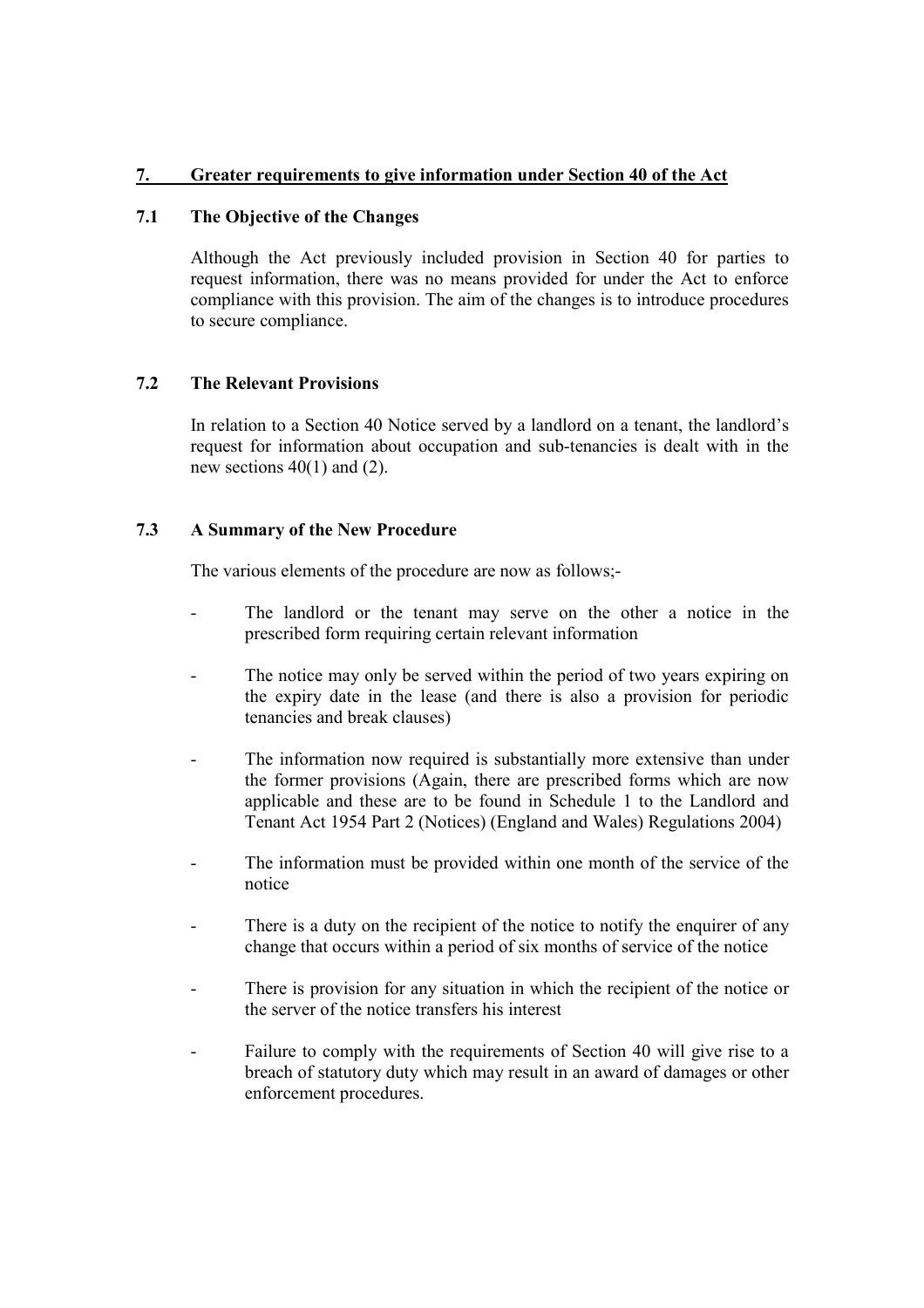# 7. Greater requirements to give information under Section 40 of the Act

# 7.1 The Objective of the Changes

Although the Act previously included provision in Section 40 for parties to request information, there was no means provided for under the Act to enforce compliance with this provision. The aim of the changes is to introduce procedures to secure compliance.

#### 7.2 The Relevant Provisions

In relation to a Section 40 Notice served by a landlord on a tenant, the landlord's request for information about occupation and sub-tenancies is dealt with in the new sections  $40(1)$  and  $(2)$ .

#### 7.3 A Summary of the New Procedure

The various elements of the procedure are now as follows;-

- The landlord or the tenant may serve on the other a notice in the prescribed form requiring certain relevant information
- The notice may only be served within the period of two years expiring on the expiry date in the lease (and there is also a provision for periodic tenancies and break clauses)
- The information now required is substantially more extensive than under the former provisions (Again, there are prescribed forms which are now applicable and these are to be found in Schedule 1 to the Landlord and Tenant Act 1954 Part 2 (Notices) (England and Wales) Regulations 2004)
- The information must be provided within one month of the service of the notice
- There is a duty on the recipient of the notice to notify the enquirer of any change that occurs within a period of six months of service of the notice
- There is provision for any situation in which the recipient of the notice or the server of the notice transfers his interest
- Failure to comply with the requirements of Section 40 will give rise to a breach of statutory duty which may result in an award of damages or other enforcement procedures.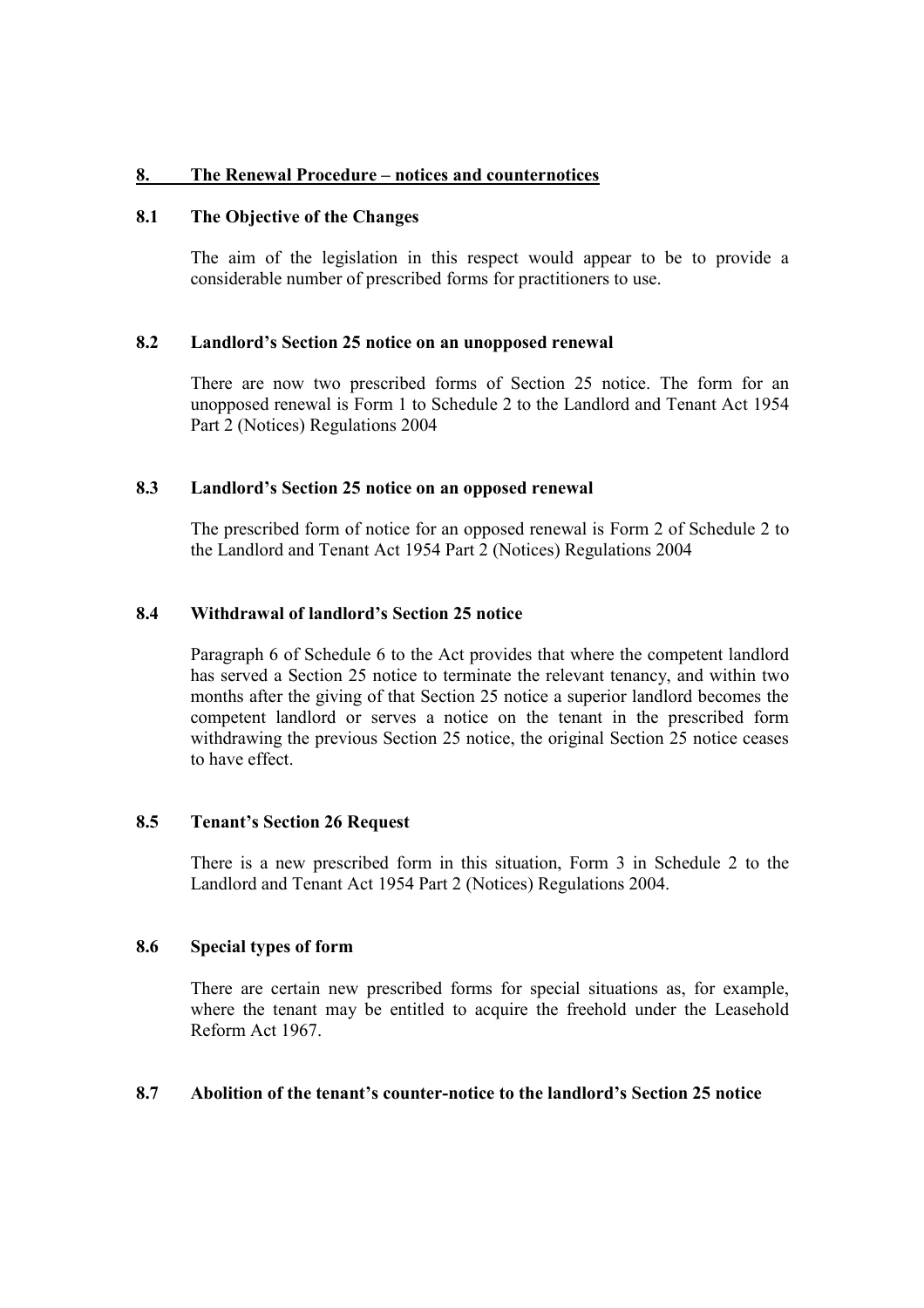## 8. The Renewal Procedure – notices and counternotices

## 8.1 The Objective of the Changes

The aim of the legislation in this respect would appear to be to provide a considerable number of prescribed forms for practitioners to use.

#### 8.2 Landlord's Section 25 notice on an unopposed renewal

There are now two prescribed forms of Section 25 notice. The form for an unopposed renewal is Form 1 to Schedule 2 to the Landlord and Tenant Act 1954 Part 2 (Notices) Regulations 2004

#### 8.3 Landlord's Section 25 notice on an opposed renewal

The prescribed form of notice for an opposed renewal is Form 2 of Schedule 2 to the Landlord and Tenant Act 1954 Part 2 (Notices) Regulations 2004

## 8.4 Withdrawal of landlord's Section 25 notice

Paragraph 6 of Schedule 6 to the Act provides that where the competent landlord has served a Section 25 notice to terminate the relevant tenancy, and within two months after the giving of that Section 25 notice a superior landlord becomes the competent landlord or serves a notice on the tenant in the prescribed form withdrawing the previous Section 25 notice, the original Section 25 notice ceases to have effect.

#### 8.5 Tenant's Section 26 Request

There is a new prescribed form in this situation, Form 3 in Schedule 2 to the Landlord and Tenant Act 1954 Part 2 (Notices) Regulations 2004.

#### 8.6 Special types of form

There are certain new prescribed forms for special situations as, for example, where the tenant may be entitled to acquire the freehold under the Leasehold Reform Act 1967.

#### 8.7 Abolition of the tenant's counter-notice to the landlord's Section 25 notice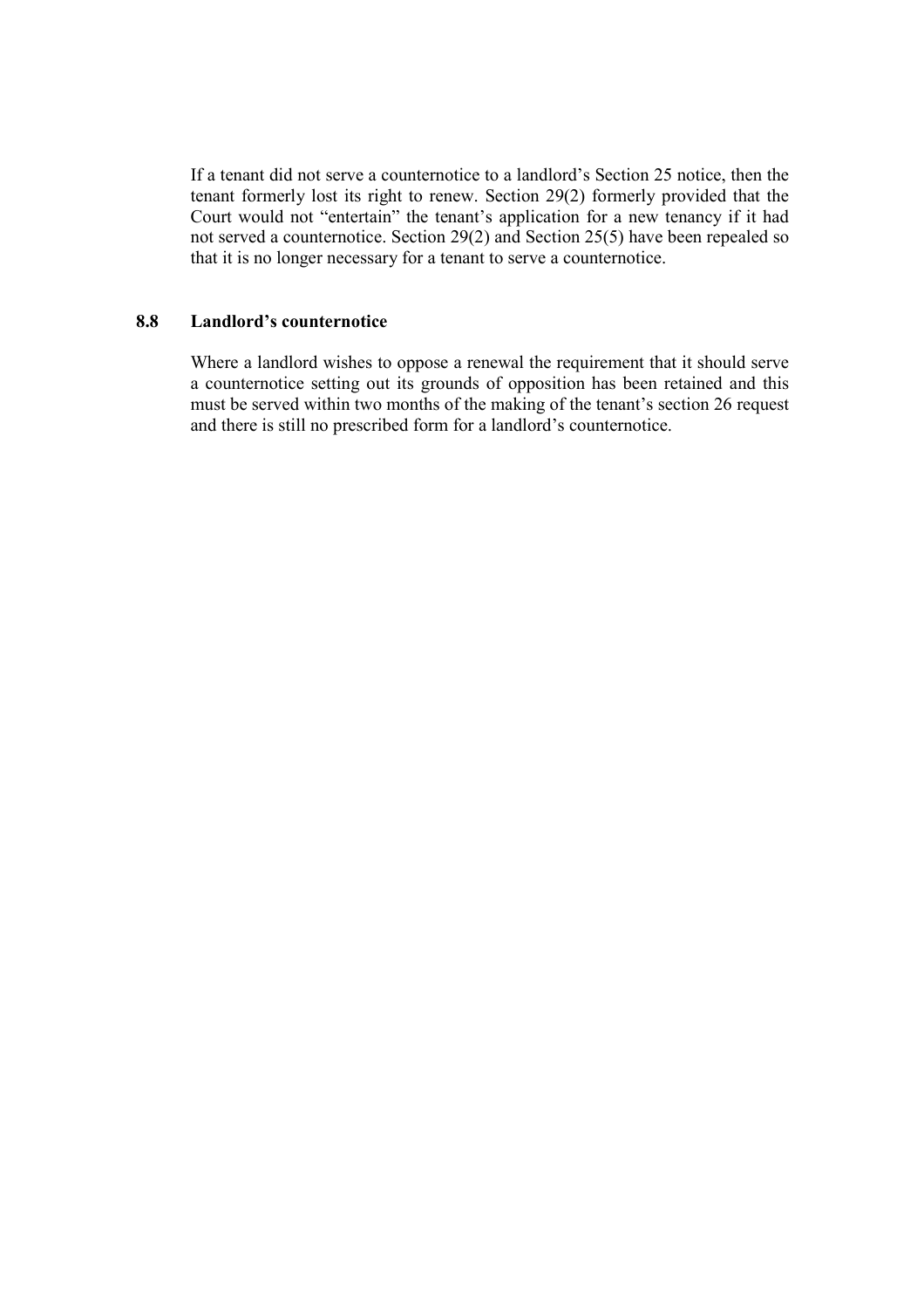If a tenant did not serve a counternotice to a landlord's Section 25 notice, then the tenant formerly lost its right to renew. Section 29(2) formerly provided that the Court would not "entertain" the tenant's application for a new tenancy if it had not served a counternotice. Section 29(2) and Section 25(5) have been repealed so that it is no longer necessary for a tenant to serve a counternotice.

### 8.8 Landlord's counternotice

Where a landlord wishes to oppose a renewal the requirement that it should serve a counternotice setting out its grounds of opposition has been retained and this must be served within two months of the making of the tenant's section 26 request and there is still no prescribed form for a landlord's counternotice.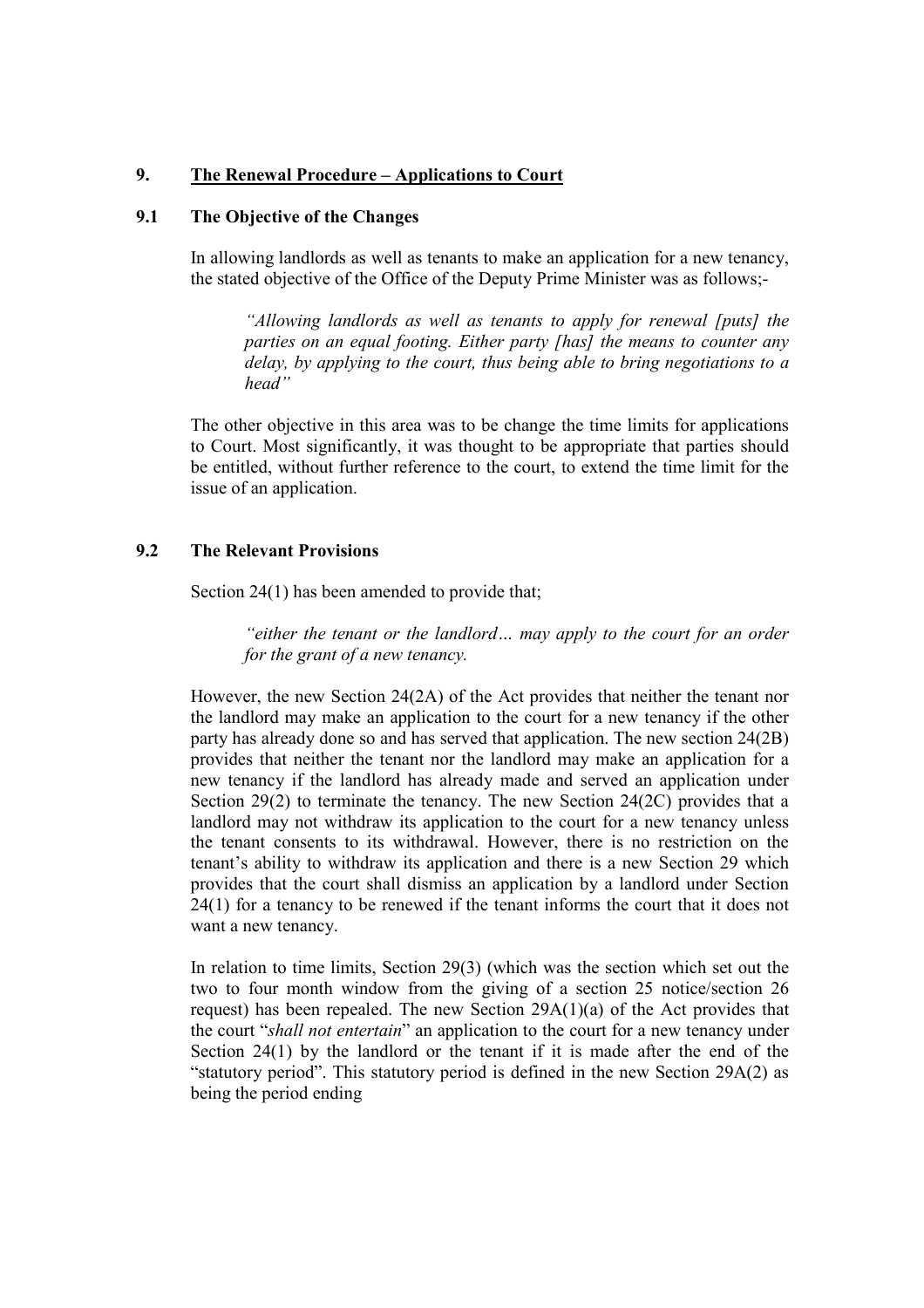### 9. The Renewal Procedure – Applications to Court

## 9.1 The Objective of the Changes

In allowing landlords as well as tenants to make an application for a new tenancy, the stated objective of the Office of the Deputy Prime Minister was as follows;-

"Allowing landlords as well as tenants to apply for renewal [puts] the parties on an equal footing. Either party [has] the means to counter any delay, by applying to the court, thus being able to bring negotiations to a head"

The other objective in this area was to be change the time limits for applications to Court. Most significantly, it was thought to be appropriate that parties should be entitled, without further reference to the court, to extend the time limit for the issue of an application.

#### 9.2 The Relevant Provisions

Section 24(1) has been amended to provide that:

"either the tenant or the landlord… may apply to the court for an order for the grant of a new tenancy.

However, the new Section 24(2A) of the Act provides that neither the tenant nor the landlord may make an application to the court for a new tenancy if the other party has already done so and has served that application. The new section 24(2B) provides that neither the tenant nor the landlord may make an application for a new tenancy if the landlord has already made and served an application under Section 29(2) to terminate the tenancy. The new Section 24(2C) provides that a landlord may not withdraw its application to the court for a new tenancy unless the tenant consents to its withdrawal. However, there is no restriction on the tenant's ability to withdraw its application and there is a new Section 29 which provides that the court shall dismiss an application by a landlord under Section 24(1) for a tenancy to be renewed if the tenant informs the court that it does not want a new tenancy.

In relation to time limits, Section 29(3) (which was the section which set out the two to four month window from the giving of a section 25 notice/section 26 request) has been repealed. The new Section 29A(1)(a) of the Act provides that the court "shall not entertain" an application to the court for a new tenancy under Section 24(1) by the landlord or the tenant if it is made after the end of the "statutory period". This statutory period is defined in the new Section 29A(2) as being the period ending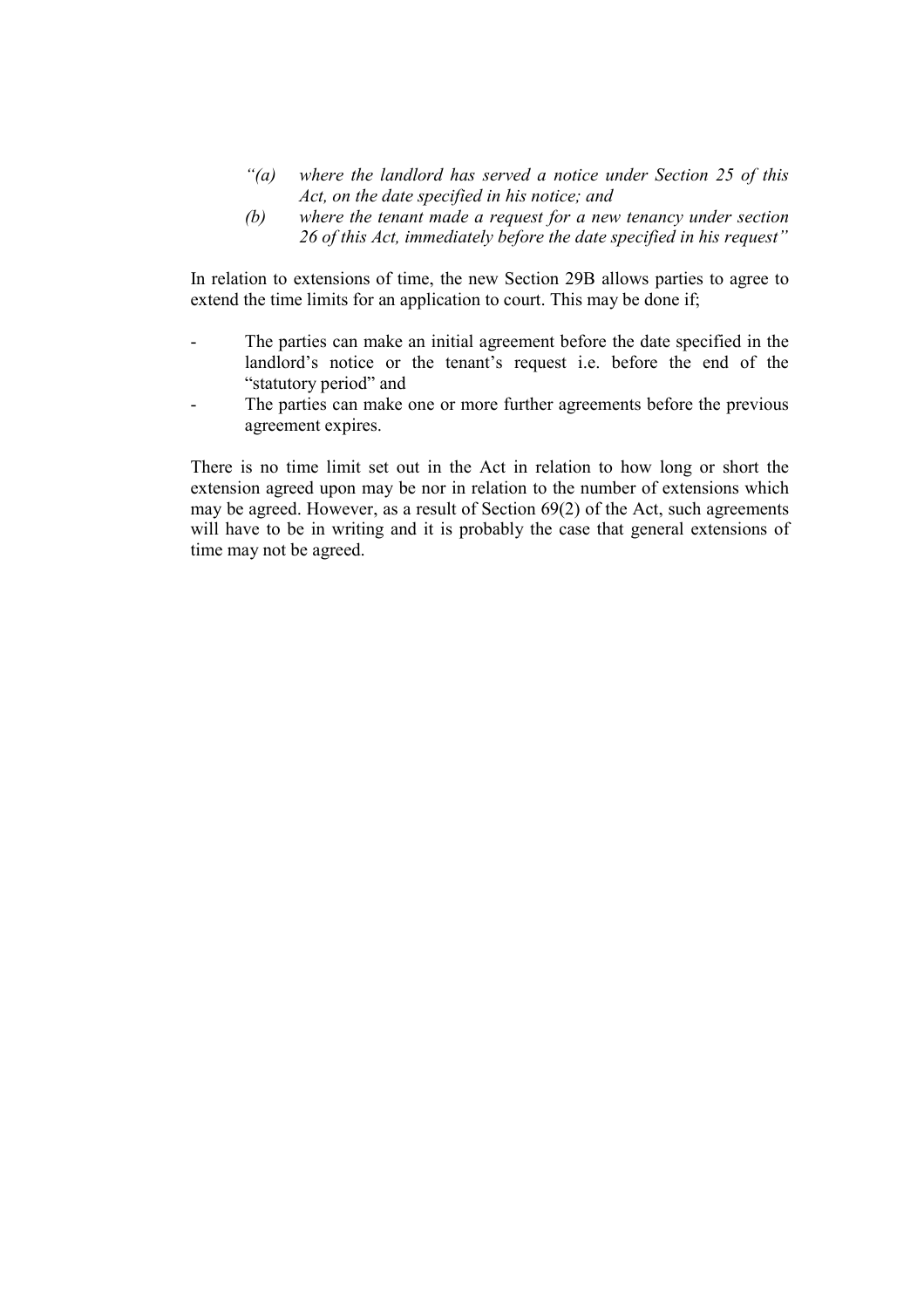- $\hat{a}$  where the landlord has served a notice under Section 25 of this Act, on the date specified in his notice; and
- (b) where the tenant made a request for a new tenancy under section 26 of this Act, immediately before the date specified in his request"

In relation to extensions of time, the new Section 29B allows parties to agree to extend the time limits for an application to court. This may be done if;

- The parties can make an initial agreement before the date specified in the landlord's notice or the tenant's request i.e. before the end of the "statutory period" and
- The parties can make one or more further agreements before the previous agreement expires.

There is no time limit set out in the Act in relation to how long or short the extension agreed upon may be nor in relation to the number of extensions which may be agreed. However, as a result of Section 69(2) of the Act, such agreements will have to be in writing and it is probably the case that general extensions of time may not be agreed.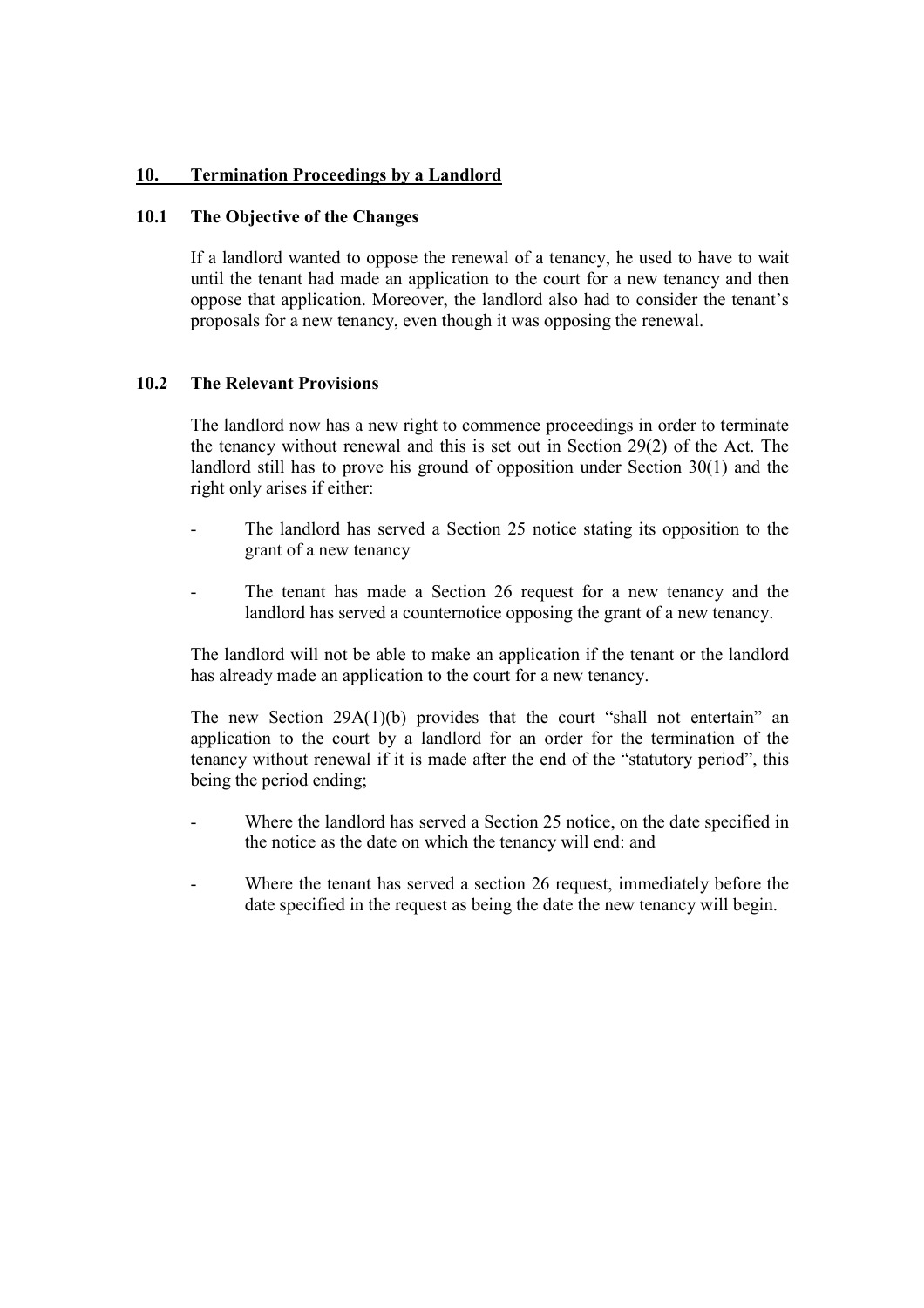# 10. Termination Proceedings by a Landlord

## 10.1 The Objective of the Changes

If a landlord wanted to oppose the renewal of a tenancy, he used to have to wait until the tenant had made an application to the court for a new tenancy and then oppose that application. Moreover, the landlord also had to consider the tenant's proposals for a new tenancy, even though it was opposing the renewal.

#### 10.2 The Relevant Provisions

The landlord now has a new right to commence proceedings in order to terminate the tenancy without renewal and this is set out in Section 29(2) of the Act. The landlord still has to prove his ground of opposition under Section 30(1) and the right only arises if either:

- The landlord has served a Section 25 notice stating its opposition to the grant of a new tenancy
- The tenant has made a Section 26 request for a new tenancy and the landlord has served a counternotice opposing the grant of a new tenancy.

The landlord will not be able to make an application if the tenant or the landlord has already made an application to the court for a new tenancy.

The new Section 29A(1)(b) provides that the court "shall not entertain" an application to the court by a landlord for an order for the termination of the tenancy without renewal if it is made after the end of the "statutory period", this being the period ending;

- Where the landlord has served a Section 25 notice, on the date specified in the notice as the date on which the tenancy will end: and
- Where the tenant has served a section 26 request, immediately before the date specified in the request as being the date the new tenancy will begin.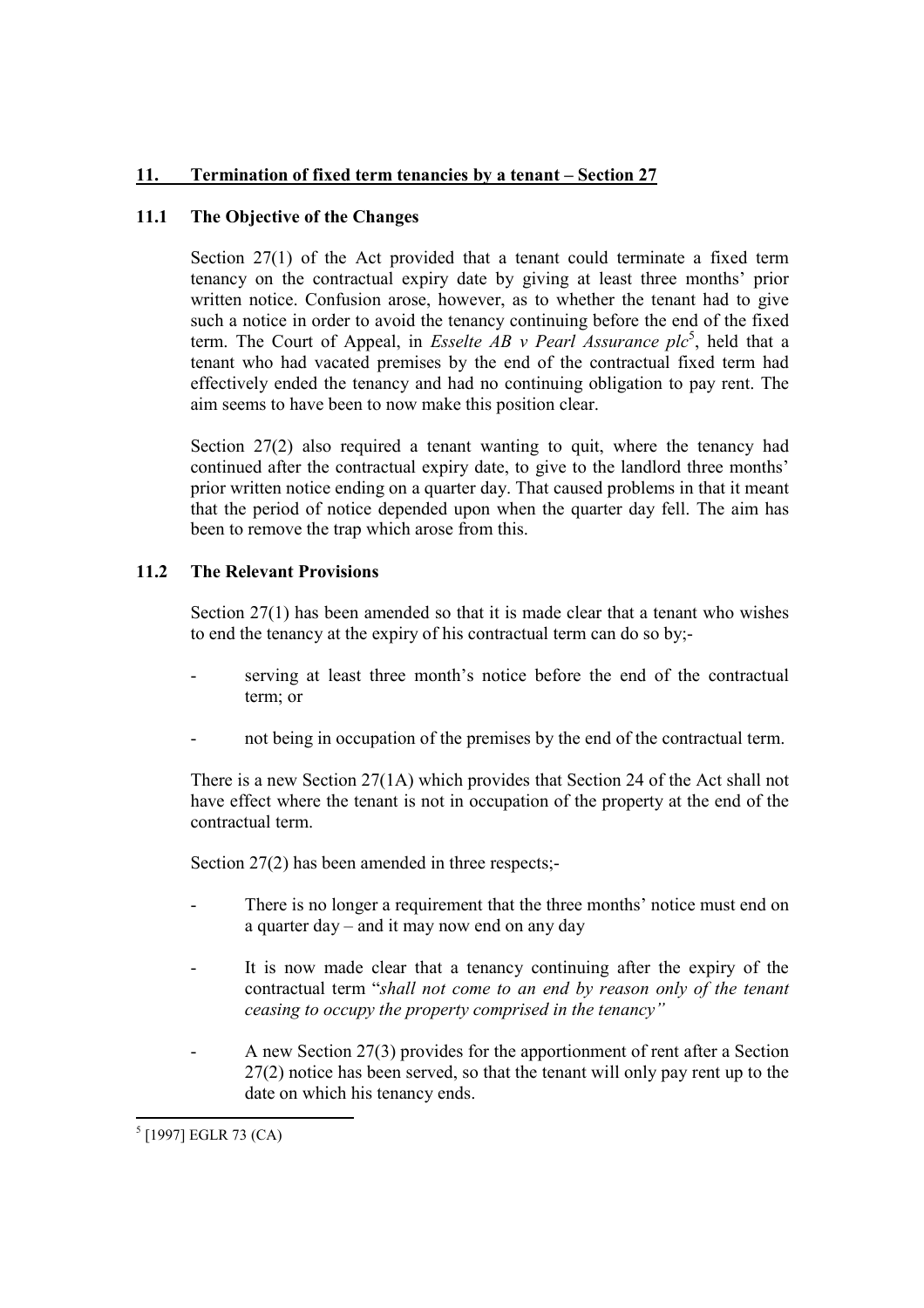# 11. Termination of fixed term tenancies by a tenant – Section 27

# 11.1 The Objective of the Changes

Section 27(1) of the Act provided that a tenant could terminate a fixed term tenancy on the contractual expiry date by giving at least three months' prior written notice. Confusion arose, however, as to whether the tenant had to give such a notice in order to avoid the tenancy continuing before the end of the fixed term. The Court of Appeal, in *Esselte AB v Pearl Assurance plc*<sup>5</sup>, held that a tenant who had vacated premises by the end of the contractual fixed term had effectively ended the tenancy and had no continuing obligation to pay rent. The aim seems to have been to now make this position clear.

Section 27(2) also required a tenant wanting to quit, where the tenancy had continued after the contractual expiry date, to give to the landlord three months' prior written notice ending on a quarter day. That caused problems in that it meant that the period of notice depended upon when the quarter day fell. The aim has been to remove the trap which arose from this.

# 11.2 The Relevant Provisions

Section  $27(1)$  has been amended so that it is made clear that a tenant who wishes to end the tenancy at the expiry of his contractual term can do so by;-

- serving at least three month's notice before the end of the contractual term; or
- not being in occupation of the premises by the end of the contractual term.

There is a new Section 27(1A) which provides that Section 24 of the Act shall not have effect where the tenant is not in occupation of the property at the end of the contractual term.

Section 27(2) has been amended in three respects;-

- There is no longer a requirement that the three months' notice must end on a quarter day – and it may now end on any day
- It is now made clear that a tenancy continuing after the expiry of the contractual term "shall not come to an end by reason only of the tenant ceasing to occupy the property comprised in the tenancy"
- A new Section 27(3) provides for the apportionment of rent after a Section 27(2) notice has been served, so that the tenant will only pay rent up to the date on which his tenancy ends.

 5 [1997] EGLR 73 (CA)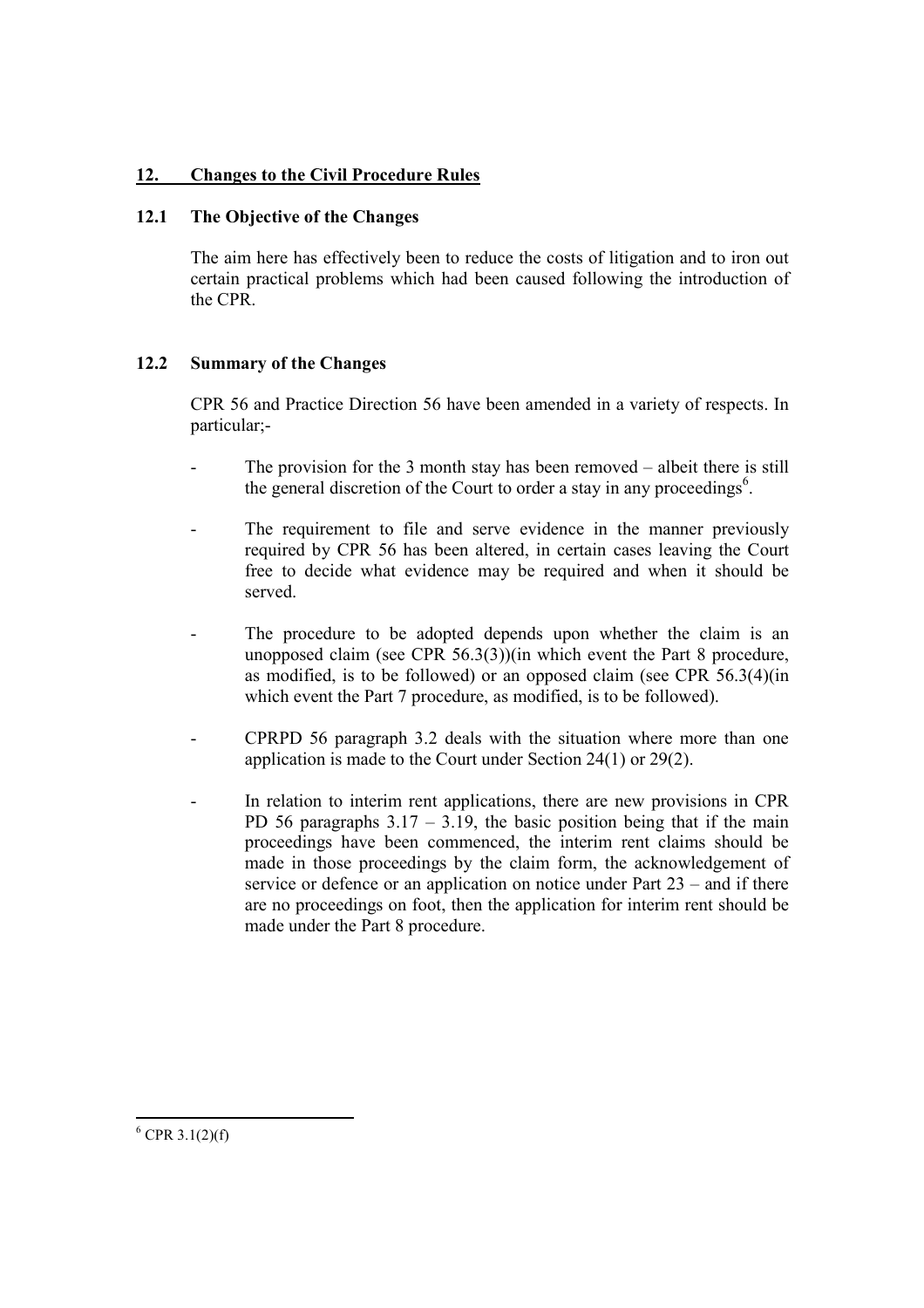# 12. Changes to the Civil Procedure Rules

## 12.1 The Objective of the Changes

The aim here has effectively been to reduce the costs of litigation and to iron out certain practical problems which had been caused following the introduction of the CPR.

# 12.2 Summary of the Changes

CPR 56 and Practice Direction 56 have been amended in a variety of respects. In particular;-

- The provision for the 3 month stay has been removed albeit there is still the general discretion of the Court to order a stay in any proceedings<sup>6</sup>.
- The requirement to file and serve evidence in the manner previously required by CPR 56 has been altered, in certain cases leaving the Court free to decide what evidence may be required and when it should be served.
- The procedure to be adopted depends upon whether the claim is an unopposed claim (see CPR 56.3(3))(in which event the Part 8 procedure, as modified, is to be followed) or an opposed claim (see CPR 56.3(4)(in which event the Part 7 procedure, as modified, is to be followed).
- CPRPD 56 paragraph 3.2 deals with the situation where more than one application is made to the Court under Section 24(1) or 29(2).
- In relation to interim rent applications, there are new provisions in CPR PD 56 paragraphs  $3.17 - 3.19$ , the basic position being that if the main proceedings have been commenced, the interim rent claims should be made in those proceedings by the claim form, the acknowledgement of service or defence or an application on notice under Part 23 – and if there are no proceedings on foot, then the application for interim rent should be made under the Part 8 procedure.

 $6$  CPR 3.1(2)(f)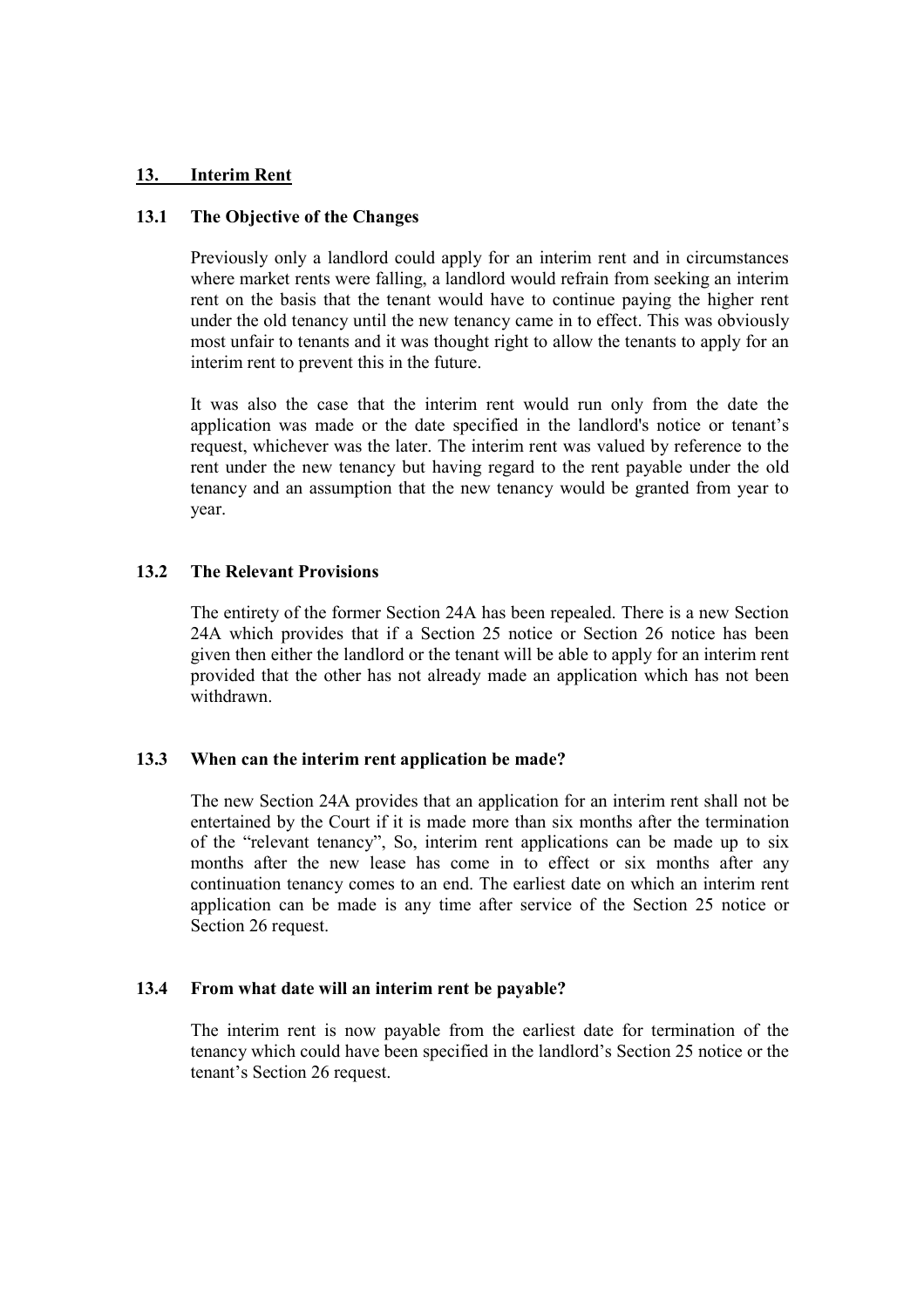### 13. Interim Rent

## 13.1 The Objective of the Changes

Previously only a landlord could apply for an interim rent and in circumstances where market rents were falling, a landlord would refrain from seeking an interim rent on the basis that the tenant would have to continue paying the higher rent under the old tenancy until the new tenancy came in to effect. This was obviously most unfair to tenants and it was thought right to allow the tenants to apply for an interim rent to prevent this in the future.

It was also the case that the interim rent would run only from the date the application was made or the date specified in the landlord's notice or tenant's request, whichever was the later. The interim rent was valued by reference to the rent under the new tenancy but having regard to the rent payable under the old tenancy and an assumption that the new tenancy would be granted from year to year.

## 13.2 The Relevant Provisions

The entirety of the former Section 24A has been repealed. There is a new Section 24A which provides that if a Section 25 notice or Section 26 notice has been given then either the landlord or the tenant will be able to apply for an interim rent provided that the other has not already made an application which has not been withdrawn.

#### 13.3 When can the interim rent application be made?

The new Section 24A provides that an application for an interim rent shall not be entertained by the Court if it is made more than six months after the termination of the "relevant tenancy", So, interim rent applications can be made up to six months after the new lease has come in to effect or six months after any continuation tenancy comes to an end. The earliest date on which an interim rent application can be made is any time after service of the Section 25 notice or Section 26 request.

#### 13.4 From what date will an interim rent be payable?

The interim rent is now payable from the earliest date for termination of the tenancy which could have been specified in the landlord's Section 25 notice or the tenant's Section 26 request.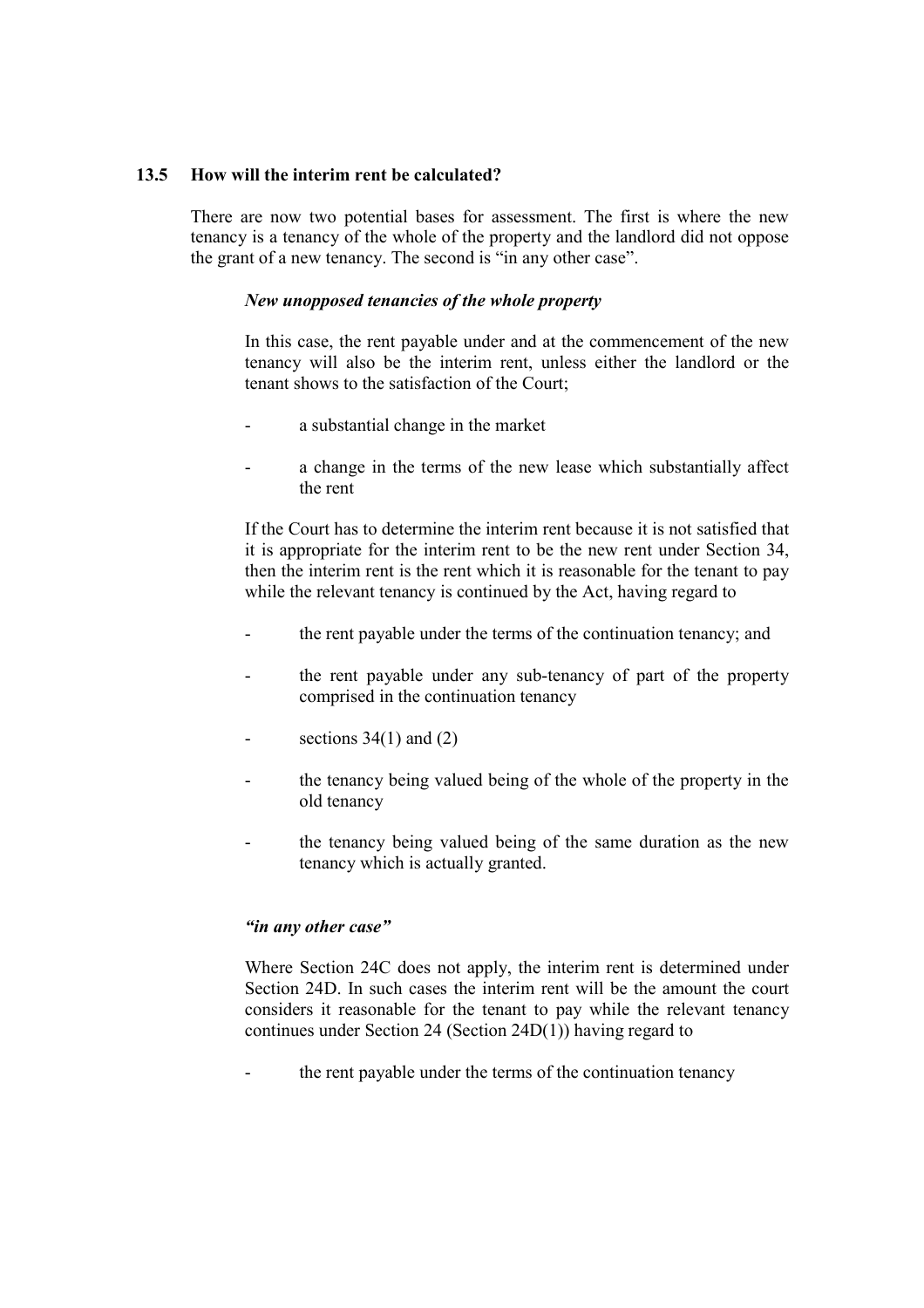## 13.5 How will the interim rent be calculated?

There are now two potential bases for assessment. The first is where the new tenancy is a tenancy of the whole of the property and the landlord did not oppose the grant of a new tenancy. The second is "in any other case".

## New unopposed tenancies of the whole property

In this case, the rent payable under and at the commencement of the new tenancy will also be the interim rent, unless either the landlord or the tenant shows to the satisfaction of the Court;

- a substantial change in the market
- a change in the terms of the new lease which substantially affect the rent

If the Court has to determine the interim rent because it is not satisfied that it is appropriate for the interim rent to be the new rent under Section 34, then the interim rent is the rent which it is reasonable for the tenant to pay while the relevant tenancy is continued by the Act, having regard to

- the rent payable under the terms of the continuation tenancy; and
- the rent payable under any sub-tenancy of part of the property comprised in the continuation tenancy
- sections  $34(1)$  and  $(2)$
- the tenancy being valued being of the whole of the property in the old tenancy
- the tenancy being valued being of the same duration as the new tenancy which is actually granted.

## "in any other case"

Where Section 24C does not apply, the interim rent is determined under Section 24D. In such cases the interim rent will be the amount the court considers it reasonable for the tenant to pay while the relevant tenancy continues under Section 24 (Section 24D(1)) having regard to

the rent payable under the terms of the continuation tenancy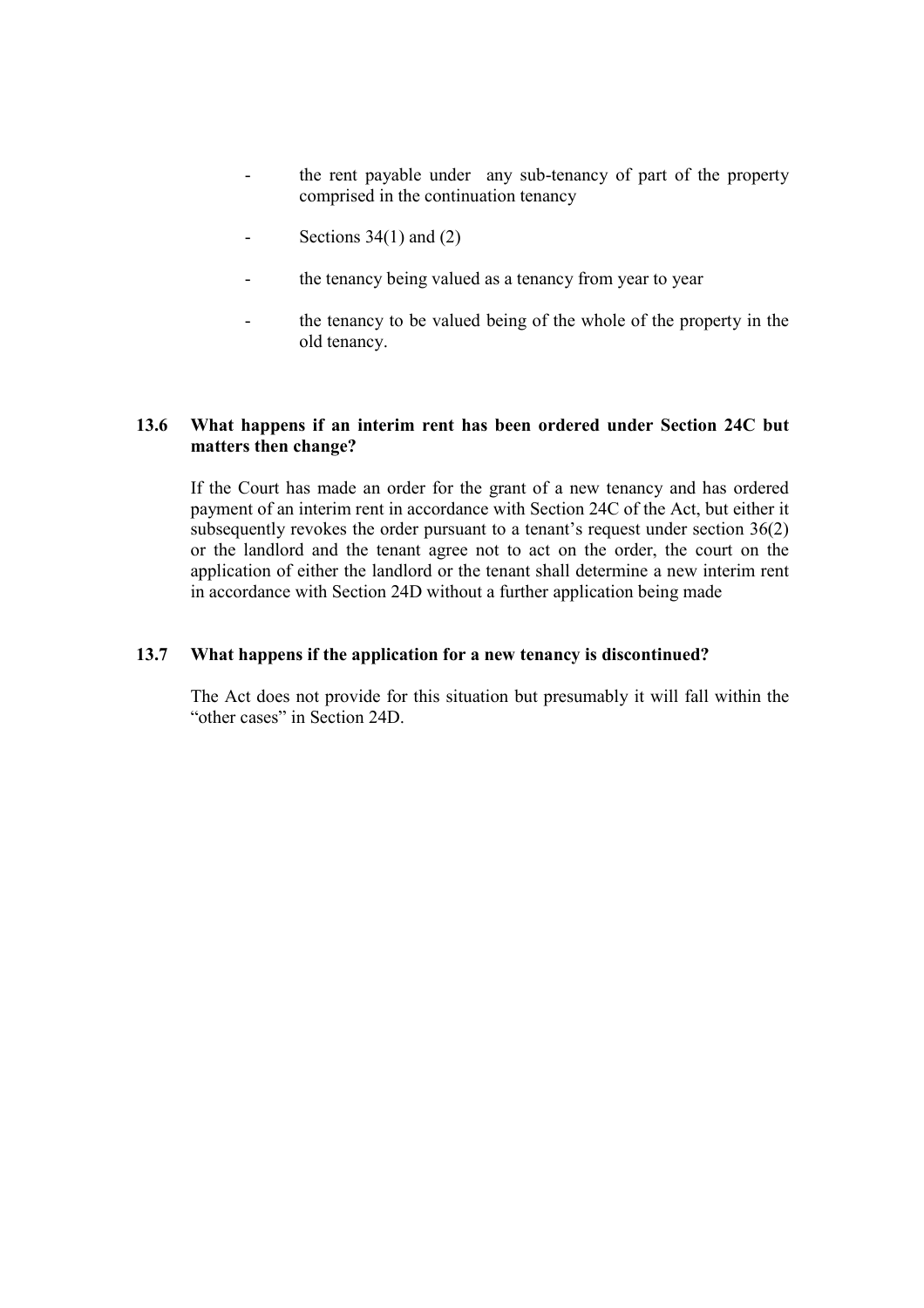- the rent payable under any sub-tenancy of part of the property comprised in the continuation tenancy
- Sections  $34(1)$  and  $(2)$
- the tenancy being valued as a tenancy from year to year
- the tenancy to be valued being of the whole of the property in the old tenancy.

## 13.6 What happens if an interim rent has been ordered under Section 24C but matters then change?

If the Court has made an order for the grant of a new tenancy and has ordered payment of an interim rent in accordance with Section 24C of the Act, but either it subsequently revokes the order pursuant to a tenant's request under section 36(2) or the landlord and the tenant agree not to act on the order, the court on the application of either the landlord or the tenant shall determine a new interim rent in accordance with Section 24D without a further application being made

### 13.7 What happens if the application for a new tenancy is discontinued?

The Act does not provide for this situation but presumably it will fall within the "other cases" in Section 24D.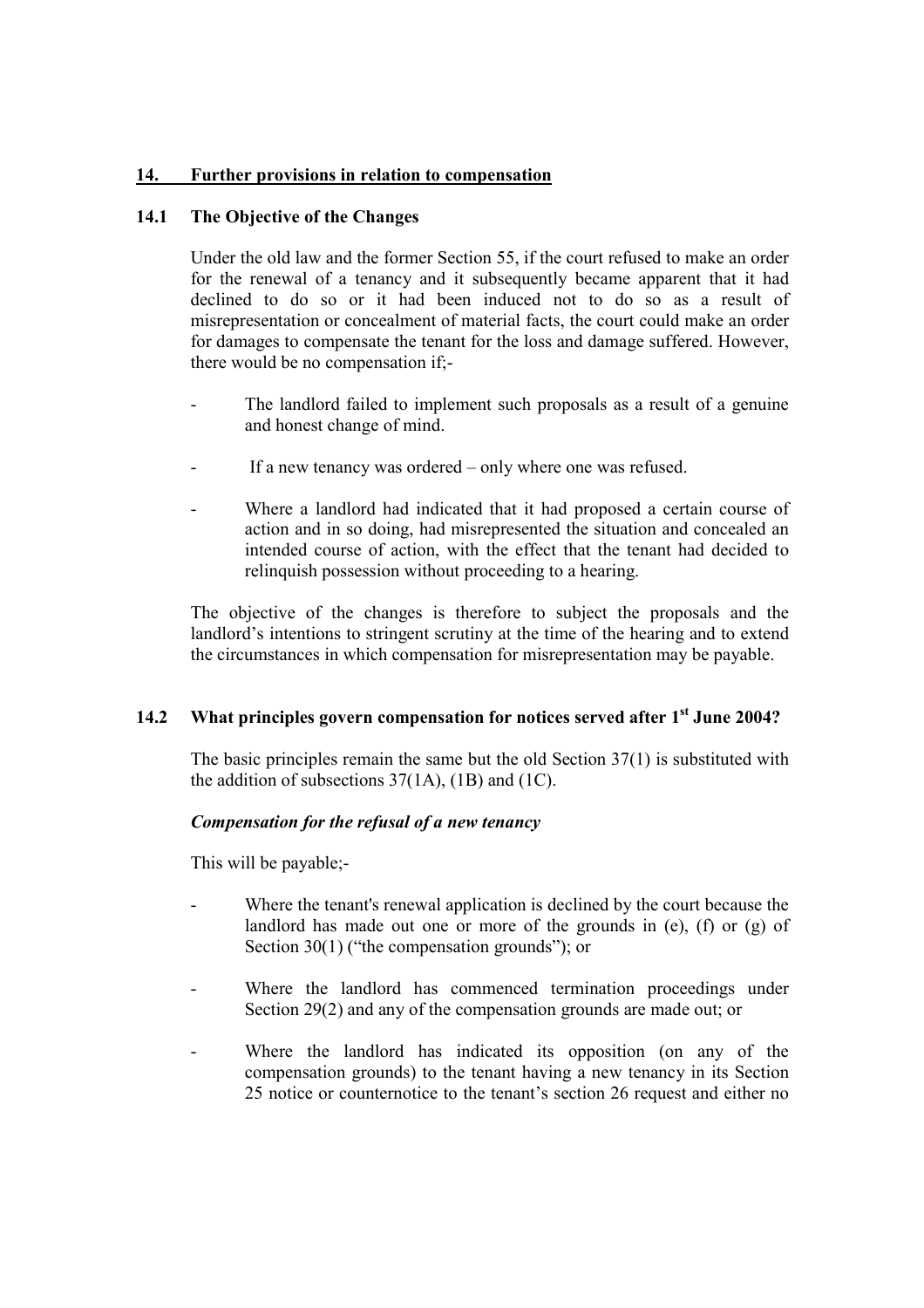# 14. Further provisions in relation to compensation

## 14.1 The Objective of the Changes

Under the old law and the former Section 55, if the court refused to make an order for the renewal of a tenancy and it subsequently became apparent that it had declined to do so or it had been induced not to do so as a result of misrepresentation or concealment of material facts, the court could make an order for damages to compensate the tenant for the loss and damage suffered. However, there would be no compensation if;-

- The landlord failed to implement such proposals as a result of a genuine and honest change of mind.
- If a new tenancy was ordered only where one was refused.
- Where a landlord had indicated that it had proposed a certain course of action and in so doing, had misrepresented the situation and concealed an intended course of action, with the effect that the tenant had decided to relinquish possession without proceeding to a hearing.

The objective of the changes is therefore to subject the proposals and the landlord's intentions to stringent scrutiny at the time of the hearing and to extend the circumstances in which compensation for misrepresentation may be payable.

# 14.2 What principles govern compensation for notices served after 1<sup>st</sup> June 2004?

The basic principles remain the same but the old Section 37(1) is substituted with the addition of subsections  $37(1A)$ ,  $(1B)$  and  $(1C)$ .

## Compensation for the refusal of a new tenancy

This will be payable;-

- Where the tenant's renewal application is declined by the court because the landlord has made out one or more of the grounds in (e), (f) or (g) of Section 30(1) ("the compensation grounds"); or
- Where the landlord has commenced termination proceedings under Section 29(2) and any of the compensation grounds are made out; or
- Where the landlord has indicated its opposition (on any of the compensation grounds) to the tenant having a new tenancy in its Section 25 notice or counternotice to the tenant's section 26 request and either no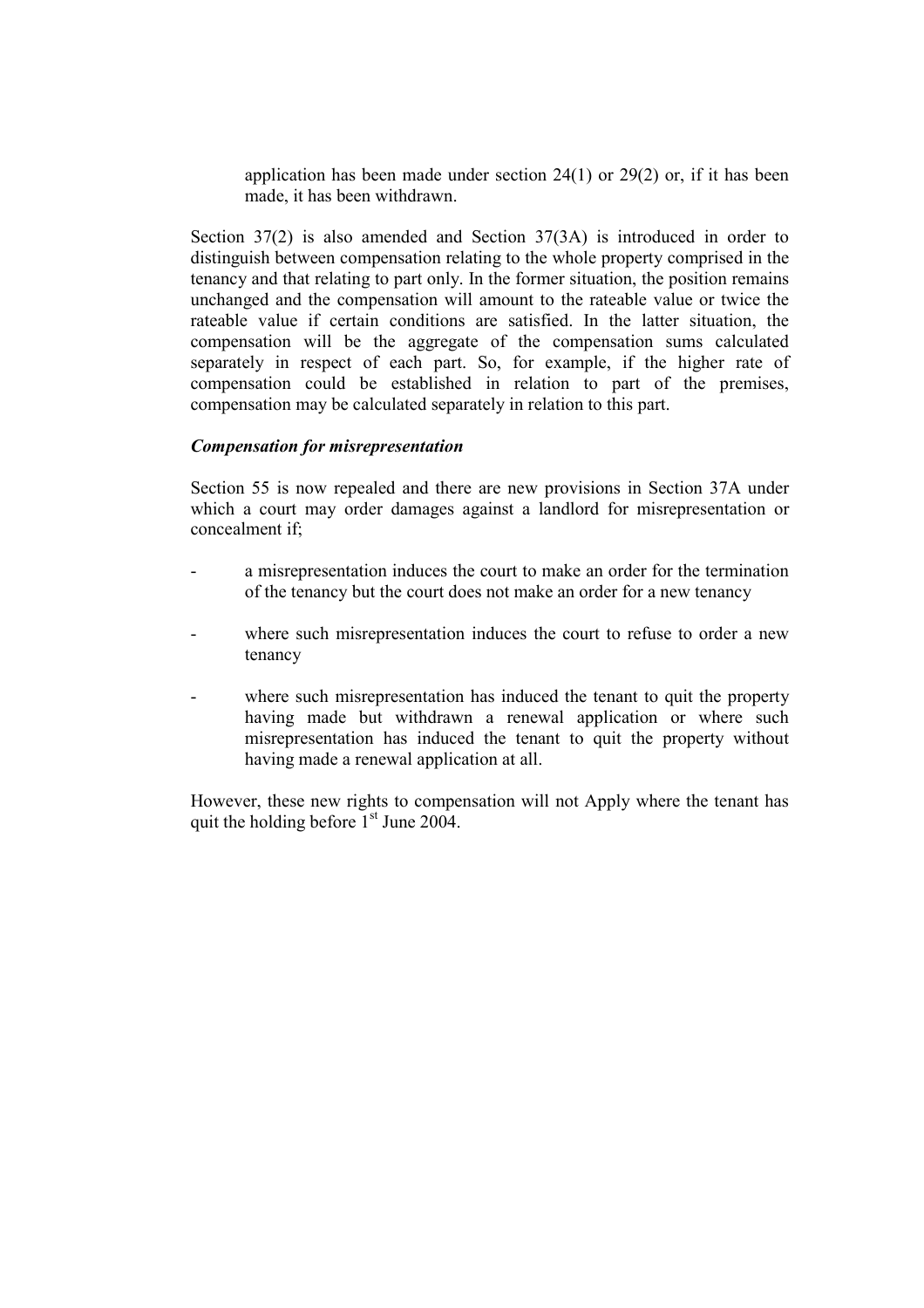application has been made under section 24(1) or 29(2) or, if it has been made, it has been withdrawn.

Section 37(2) is also amended and Section 37(3A) is introduced in order to distinguish between compensation relating to the whole property comprised in the tenancy and that relating to part only. In the former situation, the position remains unchanged and the compensation will amount to the rateable value or twice the rateable value if certain conditions are satisfied. In the latter situation, the compensation will be the aggregate of the compensation sums calculated separately in respect of each part. So, for example, if the higher rate of compensation could be established in relation to part of the premises, compensation may be calculated separately in relation to this part.

#### Compensation for misrepresentation

Section 55 is now repealed and there are new provisions in Section 37A under which a court may order damages against a landlord for misrepresentation or concealment if;

- a misrepresentation induces the court to make an order for the termination of the tenancy but the court does not make an order for a new tenancy
- where such misrepresentation induces the court to refuse to order a new tenancy
- where such misrepresentation has induced the tenant to quit the property having made but withdrawn a renewal application or where such misrepresentation has induced the tenant to quit the property without having made a renewal application at all.

However, these new rights to compensation will not Apply where the tenant has quit the holding before  $1<sup>st</sup>$  June 2004.